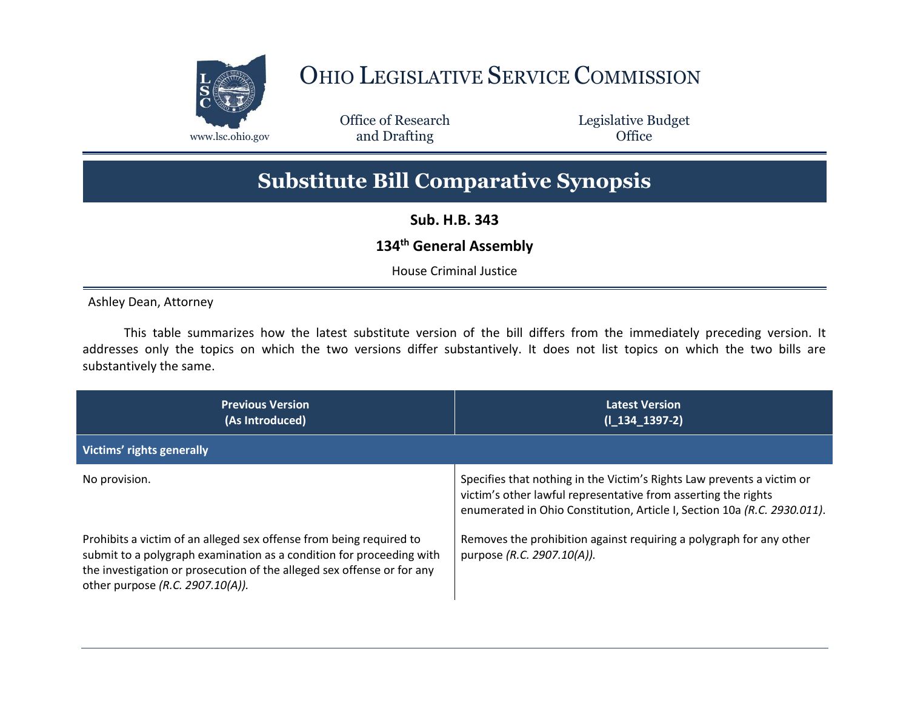

## OHIO LEGISLATIVE SERVICE COMMISSION

Office of Research www.lsc.ohio.gov **and Drafting Office** 

Legislative Budget

## **Substitute Bill Comparative Synopsis**

**Sub. H.B. 343**

## **134th General Assembly**

House Criminal Justice

Ashley Dean, Attorney

This table summarizes how the latest substitute version of the bill differs from the immediately preceding version. It addresses only the topics on which the two versions differ substantively. It does not list topics on which the two bills are substantively the same.

| <b>Previous Version</b><br>(As Introduced)                                                                                                                                                                                                                | <b>Latest Version</b><br>$(I_134_1397-2)$                                                                                                                                                                            |
|-----------------------------------------------------------------------------------------------------------------------------------------------------------------------------------------------------------------------------------------------------------|----------------------------------------------------------------------------------------------------------------------------------------------------------------------------------------------------------------------|
| Victims' rights generally                                                                                                                                                                                                                                 |                                                                                                                                                                                                                      |
| No provision.                                                                                                                                                                                                                                             | Specifies that nothing in the Victim's Rights Law prevents a victim or<br>victim's other lawful representative from asserting the rights<br>enumerated in Ohio Constitution, Article I, Section 10a (R.C. 2930.011). |
| Prohibits a victim of an alleged sex offense from being required to<br>submit to a polygraph examination as a condition for proceeding with<br>the investigation or prosecution of the alleged sex offense or for any<br>other purpose (R.C. 2907.10(A)). | Removes the prohibition against requiring a polygraph for any other<br>purpose (R.C. 2907.10(A)).                                                                                                                    |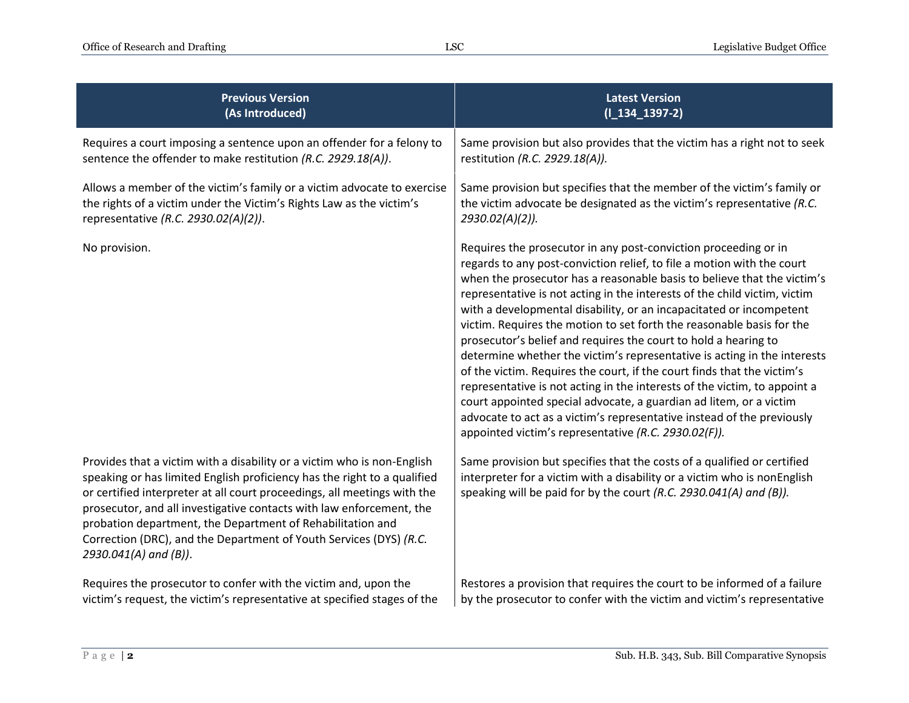| <b>Previous Version</b>                                                                                                                                                                                                                                                                                                                                                                                                                                                | <b>Latest Version</b>                                                                                                                                                                                                                                                                                                                                                                                                                                                                                                                                                                                                                                                                                                                                                                                                                                                                                                                                            |
|------------------------------------------------------------------------------------------------------------------------------------------------------------------------------------------------------------------------------------------------------------------------------------------------------------------------------------------------------------------------------------------------------------------------------------------------------------------------|------------------------------------------------------------------------------------------------------------------------------------------------------------------------------------------------------------------------------------------------------------------------------------------------------------------------------------------------------------------------------------------------------------------------------------------------------------------------------------------------------------------------------------------------------------------------------------------------------------------------------------------------------------------------------------------------------------------------------------------------------------------------------------------------------------------------------------------------------------------------------------------------------------------------------------------------------------------|
| (As Introduced)                                                                                                                                                                                                                                                                                                                                                                                                                                                        | $(I_134_1397-2)$                                                                                                                                                                                                                                                                                                                                                                                                                                                                                                                                                                                                                                                                                                                                                                                                                                                                                                                                                 |
| Requires a court imposing a sentence upon an offender for a felony to                                                                                                                                                                                                                                                                                                                                                                                                  | Same provision but also provides that the victim has a right not to seek                                                                                                                                                                                                                                                                                                                                                                                                                                                                                                                                                                                                                                                                                                                                                                                                                                                                                         |
| sentence the offender to make restitution (R.C. 2929.18(A)).                                                                                                                                                                                                                                                                                                                                                                                                           | restitution (R.C. 2929.18(A)).                                                                                                                                                                                                                                                                                                                                                                                                                                                                                                                                                                                                                                                                                                                                                                                                                                                                                                                                   |
| Allows a member of the victim's family or a victim advocate to exercise                                                                                                                                                                                                                                                                                                                                                                                                | Same provision but specifies that the member of the victim's family or                                                                                                                                                                                                                                                                                                                                                                                                                                                                                                                                                                                                                                                                                                                                                                                                                                                                                           |
| the rights of a victim under the Victim's Rights Law as the victim's                                                                                                                                                                                                                                                                                                                                                                                                   | the victim advocate be designated as the victim's representative (R.C.                                                                                                                                                                                                                                                                                                                                                                                                                                                                                                                                                                                                                                                                                                                                                                                                                                                                                           |
| representative (R.C. 2930.02(A)(2)).                                                                                                                                                                                                                                                                                                                                                                                                                                   | 2930.02(A)(2)).                                                                                                                                                                                                                                                                                                                                                                                                                                                                                                                                                                                                                                                                                                                                                                                                                                                                                                                                                  |
| No provision.                                                                                                                                                                                                                                                                                                                                                                                                                                                          | Requires the prosecutor in any post-conviction proceeding or in<br>regards to any post-conviction relief, to file a motion with the court<br>when the prosecutor has a reasonable basis to believe that the victim's<br>representative is not acting in the interests of the child victim, victim<br>with a developmental disability, or an incapacitated or incompetent<br>victim. Requires the motion to set forth the reasonable basis for the<br>prosecutor's belief and requires the court to hold a hearing to<br>determine whether the victim's representative is acting in the interests<br>of the victim. Requires the court, if the court finds that the victim's<br>representative is not acting in the interests of the victim, to appoint a<br>court appointed special advocate, a guardian ad litem, or a victim<br>advocate to act as a victim's representative instead of the previously<br>appointed victim's representative (R.C. 2930.02(F)). |
| Provides that a victim with a disability or a victim who is non-English<br>speaking or has limited English proficiency has the right to a qualified<br>or certified interpreter at all court proceedings, all meetings with the<br>prosecutor, and all investigative contacts with law enforcement, the<br>probation department, the Department of Rehabilitation and<br>Correction (DRC), and the Department of Youth Services (DYS) (R.C.<br>$2930.041(A)$ and (B)). | Same provision but specifies that the costs of a qualified or certified<br>interpreter for a victim with a disability or a victim who is nonEnglish<br>speaking will be paid for by the court (R.C. 2930.041(A) and (B)).                                                                                                                                                                                                                                                                                                                                                                                                                                                                                                                                                                                                                                                                                                                                        |
| Requires the prosecutor to confer with the victim and, upon the                                                                                                                                                                                                                                                                                                                                                                                                        | Restores a provision that requires the court to be informed of a failure                                                                                                                                                                                                                                                                                                                                                                                                                                                                                                                                                                                                                                                                                                                                                                                                                                                                                         |
| victim's request, the victim's representative at specified stages of the                                                                                                                                                                                                                                                                                                                                                                                               | by the prosecutor to confer with the victim and victim's representative                                                                                                                                                                                                                                                                                                                                                                                                                                                                                                                                                                                                                                                                                                                                                                                                                                                                                          |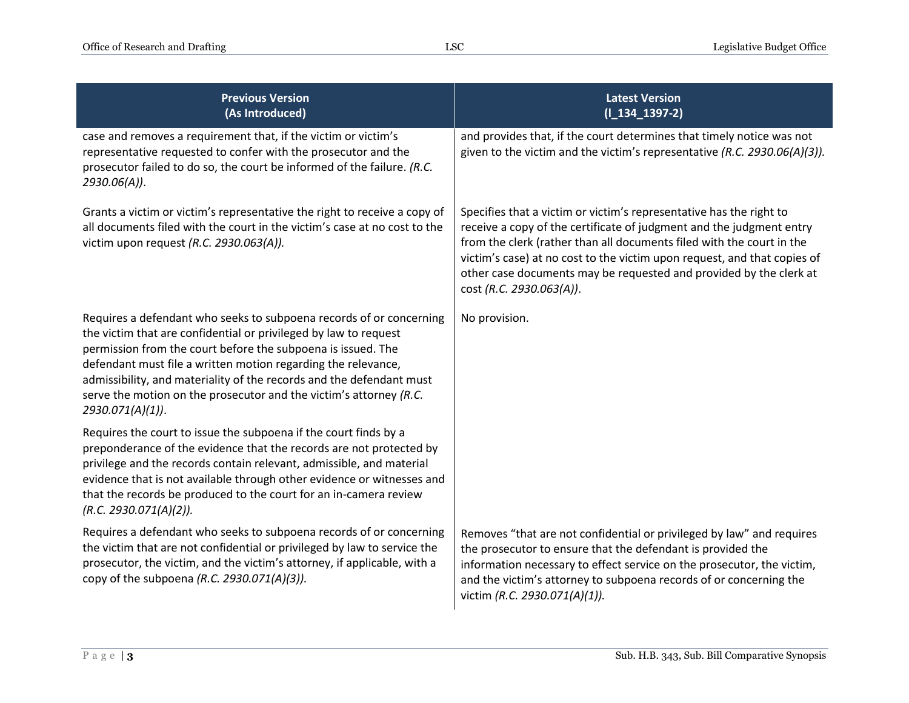| <b>Previous Version</b><br>(As Introduced)                                                                                                                                                                                                                                                                                                                                                                                                 | <b>Latest Version</b><br>$(I_134_1397-2)$                                                                                                                                                                                                                                                                                                                                                          |
|--------------------------------------------------------------------------------------------------------------------------------------------------------------------------------------------------------------------------------------------------------------------------------------------------------------------------------------------------------------------------------------------------------------------------------------------|----------------------------------------------------------------------------------------------------------------------------------------------------------------------------------------------------------------------------------------------------------------------------------------------------------------------------------------------------------------------------------------------------|
| case and removes a requirement that, if the victim or victim's<br>representative requested to confer with the prosecutor and the<br>prosecutor failed to do so, the court be informed of the failure. (R.C.<br>2930.06(A)).                                                                                                                                                                                                                | and provides that, if the court determines that timely notice was not<br>given to the victim and the victim's representative (R.C. 2930.06(A)(3)).                                                                                                                                                                                                                                                 |
| Grants a victim or victim's representative the right to receive a copy of<br>all documents filed with the court in the victim's case at no cost to the<br>victim upon request (R.C. 2930.063(A)).                                                                                                                                                                                                                                          | Specifies that a victim or victim's representative has the right to<br>receive a copy of the certificate of judgment and the judgment entry<br>from the clerk (rather than all documents filed with the court in the<br>victim's case) at no cost to the victim upon request, and that copies of<br>other case documents may be requested and provided by the clerk at<br>cost (R.C. 2930.063(A)). |
| Requires a defendant who seeks to subpoena records of or concerning<br>the victim that are confidential or privileged by law to request<br>permission from the court before the subpoena is issued. The<br>defendant must file a written motion regarding the relevance,<br>admissibility, and materiality of the records and the defendant must<br>serve the motion on the prosecutor and the victim's attorney (R.C.<br>2930.071(A)(1)). | No provision.                                                                                                                                                                                                                                                                                                                                                                                      |
| Requires the court to issue the subpoena if the court finds by a<br>preponderance of the evidence that the records are not protected by<br>privilege and the records contain relevant, admissible, and material<br>evidence that is not available through other evidence or witnesses and<br>that the records be produced to the court for an in-camera review<br>(R.C. 2930.071(A)(2)).                                                   |                                                                                                                                                                                                                                                                                                                                                                                                    |
| Requires a defendant who seeks to subpoena records of or concerning<br>the victim that are not confidential or privileged by law to service the<br>prosecutor, the victim, and the victim's attorney, if applicable, with a<br>copy of the subpoena (R.C. 2930.071(A)(3)).                                                                                                                                                                 | Removes "that are not confidential or privileged by law" and requires<br>the prosecutor to ensure that the defendant is provided the<br>information necessary to effect service on the prosecutor, the victim,<br>and the victim's attorney to subpoena records of or concerning the<br>victim (R.C. 2930.071(A)(1)).                                                                              |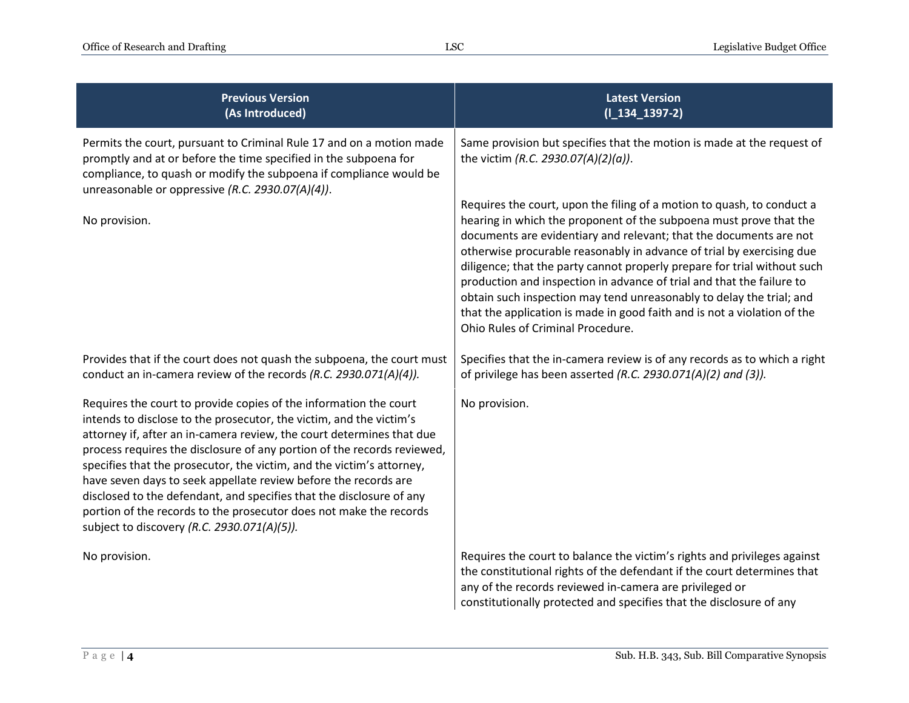| <b>Previous Version</b><br>(As Introduced)                                                                                                                                                                                                                                                                                                                                                                                                                                                                                                                                                                                            | <b>Latest Version</b><br>$(I_134_1397-2)$                                                                                                                                                                                                                                                                                                                                                                                                                                                                                                                                                                                                 |
|---------------------------------------------------------------------------------------------------------------------------------------------------------------------------------------------------------------------------------------------------------------------------------------------------------------------------------------------------------------------------------------------------------------------------------------------------------------------------------------------------------------------------------------------------------------------------------------------------------------------------------------|-------------------------------------------------------------------------------------------------------------------------------------------------------------------------------------------------------------------------------------------------------------------------------------------------------------------------------------------------------------------------------------------------------------------------------------------------------------------------------------------------------------------------------------------------------------------------------------------------------------------------------------------|
| Permits the court, pursuant to Criminal Rule 17 and on a motion made<br>promptly and at or before the time specified in the subpoena for<br>compliance, to quash or modify the subpoena if compliance would be<br>unreasonable or oppressive (R.C. 2930.07(A)(4)).                                                                                                                                                                                                                                                                                                                                                                    | Same provision but specifies that the motion is made at the request of<br>the victim (R.C. 2930.07(A)(2)(a)).                                                                                                                                                                                                                                                                                                                                                                                                                                                                                                                             |
| No provision.                                                                                                                                                                                                                                                                                                                                                                                                                                                                                                                                                                                                                         | Requires the court, upon the filing of a motion to quash, to conduct a<br>hearing in which the proponent of the subpoena must prove that the<br>documents are evidentiary and relevant; that the documents are not<br>otherwise procurable reasonably in advance of trial by exercising due<br>diligence; that the party cannot properly prepare for trial without such<br>production and inspection in advance of trial and that the failure to<br>obtain such inspection may tend unreasonably to delay the trial; and<br>that the application is made in good faith and is not a violation of the<br>Ohio Rules of Criminal Procedure. |
| Provides that if the court does not quash the subpoena, the court must<br>conduct an in-camera review of the records (R.C. 2930.071(A)(4)).                                                                                                                                                                                                                                                                                                                                                                                                                                                                                           | Specifies that the in-camera review is of any records as to which a right<br>of privilege has been asserted (R.C. 2930.071(A)(2) and (3)).                                                                                                                                                                                                                                                                                                                                                                                                                                                                                                |
| Requires the court to provide copies of the information the court<br>intends to disclose to the prosecutor, the victim, and the victim's<br>attorney if, after an in-camera review, the court determines that due<br>process requires the disclosure of any portion of the records reviewed,<br>specifies that the prosecutor, the victim, and the victim's attorney,<br>have seven days to seek appellate review before the records are<br>disclosed to the defendant, and specifies that the disclosure of any<br>portion of the records to the prosecutor does not make the records<br>subject to discovery (R.C. 2930.071(A)(5)). | No provision.                                                                                                                                                                                                                                                                                                                                                                                                                                                                                                                                                                                                                             |
| No provision.                                                                                                                                                                                                                                                                                                                                                                                                                                                                                                                                                                                                                         | Requires the court to balance the victim's rights and privileges against<br>the constitutional rights of the defendant if the court determines that<br>any of the records reviewed in-camera are privileged or<br>constitutionally protected and specifies that the disclosure of any                                                                                                                                                                                                                                                                                                                                                     |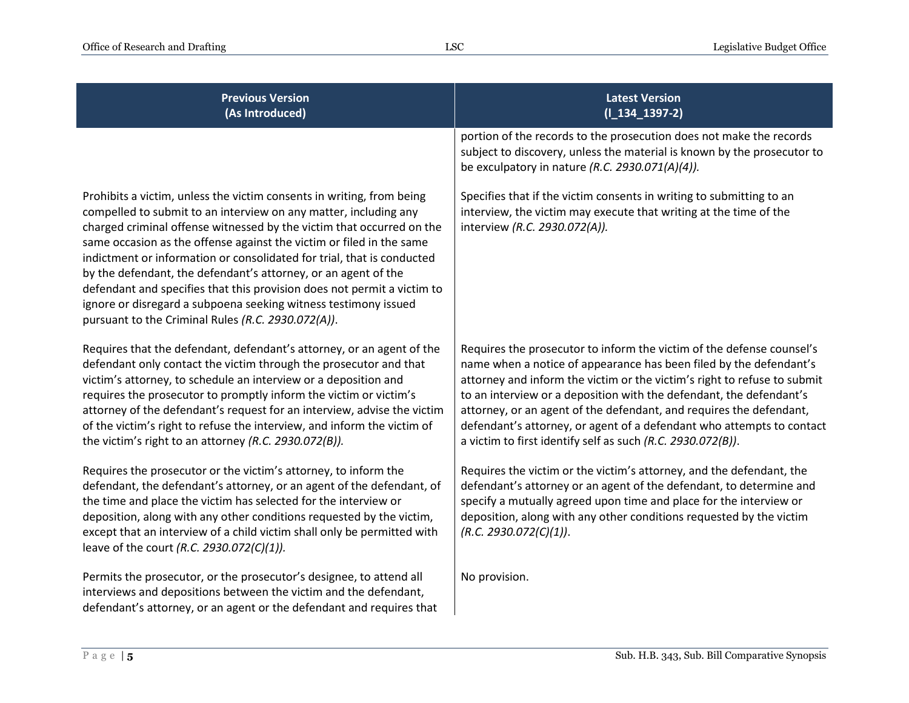| <b>Previous Version</b><br>(As Introduced)                                                                                                                                                                                                                                                                                                                                                                                                                                                                                                                                                                                                 | <b>Latest Version</b><br>$(I_134_1397-2)$                                                                                                                                                                                                                                                                                                                                                                                                                                                                     |
|--------------------------------------------------------------------------------------------------------------------------------------------------------------------------------------------------------------------------------------------------------------------------------------------------------------------------------------------------------------------------------------------------------------------------------------------------------------------------------------------------------------------------------------------------------------------------------------------------------------------------------------------|---------------------------------------------------------------------------------------------------------------------------------------------------------------------------------------------------------------------------------------------------------------------------------------------------------------------------------------------------------------------------------------------------------------------------------------------------------------------------------------------------------------|
|                                                                                                                                                                                                                                                                                                                                                                                                                                                                                                                                                                                                                                            | portion of the records to the prosecution does not make the records<br>subject to discovery, unless the material is known by the prosecutor to<br>be exculpatory in nature (R.C. 2930.071(A)(4)).                                                                                                                                                                                                                                                                                                             |
| Prohibits a victim, unless the victim consents in writing, from being<br>compelled to submit to an interview on any matter, including any<br>charged criminal offense witnessed by the victim that occurred on the<br>same occasion as the offense against the victim or filed in the same<br>indictment or information or consolidated for trial, that is conducted<br>by the defendant, the defendant's attorney, or an agent of the<br>defendant and specifies that this provision does not permit a victim to<br>ignore or disregard a subpoena seeking witness testimony issued<br>pursuant to the Criminal Rules (R.C. 2930.072(A)). | Specifies that if the victim consents in writing to submitting to an<br>interview, the victim may execute that writing at the time of the<br>interview (R.C. 2930.072(A)).                                                                                                                                                                                                                                                                                                                                    |
| Requires that the defendant, defendant's attorney, or an agent of the<br>defendant only contact the victim through the prosecutor and that<br>victim's attorney, to schedule an interview or a deposition and<br>requires the prosecutor to promptly inform the victim or victim's<br>attorney of the defendant's request for an interview, advise the victim<br>of the victim's right to refuse the interview, and inform the victim of<br>the victim's right to an attorney (R.C. 2930.072(B)).                                                                                                                                          | Requires the prosecutor to inform the victim of the defense counsel's<br>name when a notice of appearance has been filed by the defendant's<br>attorney and inform the victim or the victim's right to refuse to submit<br>to an interview or a deposition with the defendant, the defendant's<br>attorney, or an agent of the defendant, and requires the defendant,<br>defendant's attorney, or agent of a defendant who attempts to contact<br>a victim to first identify self as such (R.C. 2930.072(B)). |
| Requires the prosecutor or the victim's attorney, to inform the<br>defendant, the defendant's attorney, or an agent of the defendant, of<br>the time and place the victim has selected for the interview or<br>deposition, along with any other conditions requested by the victim,<br>except that an interview of a child victim shall only be permitted with<br>leave of the court (R.C. 2930.072(C)(1)).                                                                                                                                                                                                                                | Requires the victim or the victim's attorney, and the defendant, the<br>defendant's attorney or an agent of the defendant, to determine and<br>specify a mutually agreed upon time and place for the interview or<br>deposition, along with any other conditions requested by the victim<br>(R.C. 2930.072(C)(1)).                                                                                                                                                                                            |
| Permits the prosecutor, or the prosecutor's designee, to attend all<br>interviews and depositions between the victim and the defendant,<br>defendant's attorney, or an agent or the defendant and requires that                                                                                                                                                                                                                                                                                                                                                                                                                            | No provision.                                                                                                                                                                                                                                                                                                                                                                                                                                                                                                 |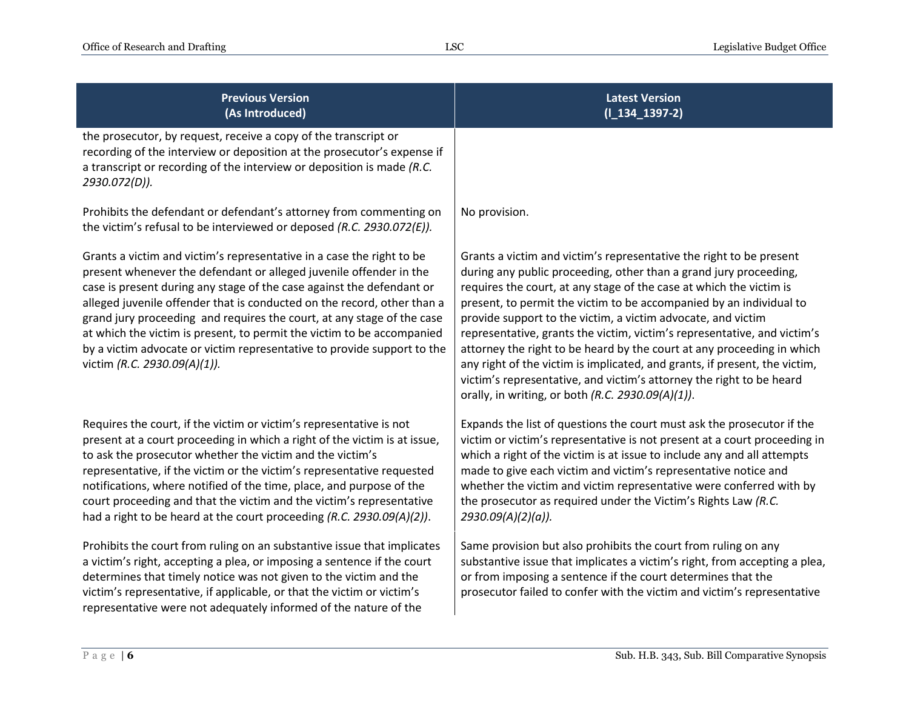| <b>Previous Version</b><br>(As Introduced)                                                                                                                                                                                                                                                                                                                                                                                                                                                                                                                     | <b>Latest Version</b><br>$(I_134_1397-2)$                                                                                                                                                                                                                                                                                                                                                                                                                                                                                                                                                                                                                                                                               |
|----------------------------------------------------------------------------------------------------------------------------------------------------------------------------------------------------------------------------------------------------------------------------------------------------------------------------------------------------------------------------------------------------------------------------------------------------------------------------------------------------------------------------------------------------------------|-------------------------------------------------------------------------------------------------------------------------------------------------------------------------------------------------------------------------------------------------------------------------------------------------------------------------------------------------------------------------------------------------------------------------------------------------------------------------------------------------------------------------------------------------------------------------------------------------------------------------------------------------------------------------------------------------------------------------|
| the prosecutor, by request, receive a copy of the transcript or<br>recording of the interview or deposition at the prosecutor's expense if<br>a transcript or recording of the interview or deposition is made (R.C.<br>2930.072(D)).                                                                                                                                                                                                                                                                                                                          |                                                                                                                                                                                                                                                                                                                                                                                                                                                                                                                                                                                                                                                                                                                         |
| Prohibits the defendant or defendant's attorney from commenting on<br>the victim's refusal to be interviewed or deposed (R.C. 2930.072(E)).                                                                                                                                                                                                                                                                                                                                                                                                                    | No provision.                                                                                                                                                                                                                                                                                                                                                                                                                                                                                                                                                                                                                                                                                                           |
| Grants a victim and victim's representative in a case the right to be<br>present whenever the defendant or alleged juvenile offender in the<br>case is present during any stage of the case against the defendant or<br>alleged juvenile offender that is conducted on the record, other than a<br>grand jury proceeding and requires the court, at any stage of the case<br>at which the victim is present, to permit the victim to be accompanied<br>by a victim advocate or victim representative to provide support to the<br>victim (R.C. 2930.09(A)(1)). | Grants a victim and victim's representative the right to be present<br>during any public proceeding, other than a grand jury proceeding,<br>requires the court, at any stage of the case at which the victim is<br>present, to permit the victim to be accompanied by an individual to<br>provide support to the victim, a victim advocate, and victim<br>representative, grants the victim, victim's representative, and victim's<br>attorney the right to be heard by the court at any proceeding in which<br>any right of the victim is implicated, and grants, if present, the victim,<br>victim's representative, and victim's attorney the right to be heard<br>orally, in writing, or both (R.C. 2930.09(A)(1)). |
| Requires the court, if the victim or victim's representative is not<br>present at a court proceeding in which a right of the victim is at issue,<br>to ask the prosecutor whether the victim and the victim's<br>representative, if the victim or the victim's representative requested<br>notifications, where notified of the time, place, and purpose of the<br>court proceeding and that the victim and the victim's representative<br>had a right to be heard at the court proceeding (R.C. 2930.09(A)(2)).                                               | Expands the list of questions the court must ask the prosecutor if the<br>victim or victim's representative is not present at a court proceeding in<br>which a right of the victim is at issue to include any and all attempts<br>made to give each victim and victim's representative notice and<br>whether the victim and victim representative were conferred with by<br>the prosecutor as required under the Victim's Rights Law (R.C.<br>2930.09(A)(2)(a)).                                                                                                                                                                                                                                                        |
| Prohibits the court from ruling on an substantive issue that implicates<br>a victim's right, accepting a plea, or imposing a sentence if the court<br>determines that timely notice was not given to the victim and the<br>victim's representative, if applicable, or that the victim or victim's<br>representative were not adequately informed of the nature of the                                                                                                                                                                                          | Same provision but also prohibits the court from ruling on any<br>substantive issue that implicates a victim's right, from accepting a plea,<br>or from imposing a sentence if the court determines that the<br>prosecutor failed to confer with the victim and victim's representative                                                                                                                                                                                                                                                                                                                                                                                                                                 |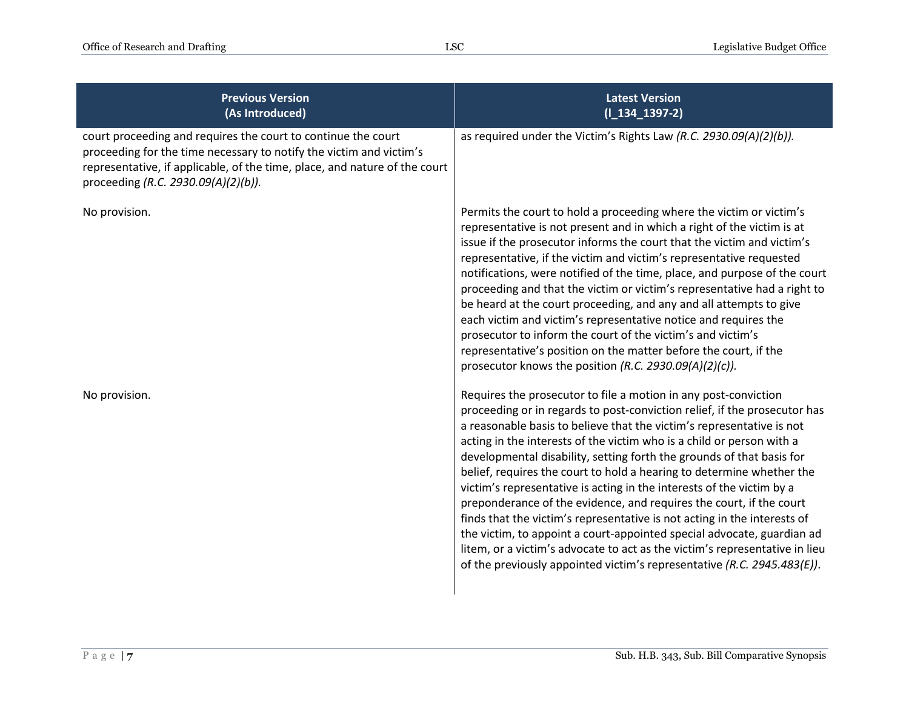| <b>Previous Version</b><br>(As Introduced)                                                                                                                                                                                                                | <b>Latest Version</b><br>$(I_134_1397-2)$                                                                                                                                                                                                                                                                                                                                                                                                                                                                                                                                                                                                                                                                                                                                                                                                                                                                        |
|-----------------------------------------------------------------------------------------------------------------------------------------------------------------------------------------------------------------------------------------------------------|------------------------------------------------------------------------------------------------------------------------------------------------------------------------------------------------------------------------------------------------------------------------------------------------------------------------------------------------------------------------------------------------------------------------------------------------------------------------------------------------------------------------------------------------------------------------------------------------------------------------------------------------------------------------------------------------------------------------------------------------------------------------------------------------------------------------------------------------------------------------------------------------------------------|
| court proceeding and requires the court to continue the court<br>proceeding for the time necessary to notify the victim and victim's<br>representative, if applicable, of the time, place, and nature of the court<br>proceeding (R.C. 2930.09(A)(2)(b)). | as required under the Victim's Rights Law (R.C. 2930.09(A)(2)(b)).                                                                                                                                                                                                                                                                                                                                                                                                                                                                                                                                                                                                                                                                                                                                                                                                                                               |
| No provision.                                                                                                                                                                                                                                             | Permits the court to hold a proceeding where the victim or victim's<br>representative is not present and in which a right of the victim is at<br>issue if the prosecutor informs the court that the victim and victim's<br>representative, if the victim and victim's representative requested<br>notifications, were notified of the time, place, and purpose of the court<br>proceeding and that the victim or victim's representative had a right to<br>be heard at the court proceeding, and any and all attempts to give<br>each victim and victim's representative notice and requires the<br>prosecutor to inform the court of the victim's and victim's<br>representative's position on the matter before the court, if the<br>prosecutor knows the position (R.C. 2930.09(A)(2)(c)).                                                                                                                    |
| No provision.                                                                                                                                                                                                                                             | Requires the prosecutor to file a motion in any post-conviction<br>proceeding or in regards to post-conviction relief, if the prosecutor has<br>a reasonable basis to believe that the victim's representative is not<br>acting in the interests of the victim who is a child or person with a<br>developmental disability, setting forth the grounds of that basis for<br>belief, requires the court to hold a hearing to determine whether the<br>victim's representative is acting in the interests of the victim by a<br>preponderance of the evidence, and requires the court, if the court<br>finds that the victim's representative is not acting in the interests of<br>the victim, to appoint a court-appointed special advocate, guardian ad<br>litem, or a victim's advocate to act as the victim's representative in lieu<br>of the previously appointed victim's representative (R.C. 2945.483(E)). |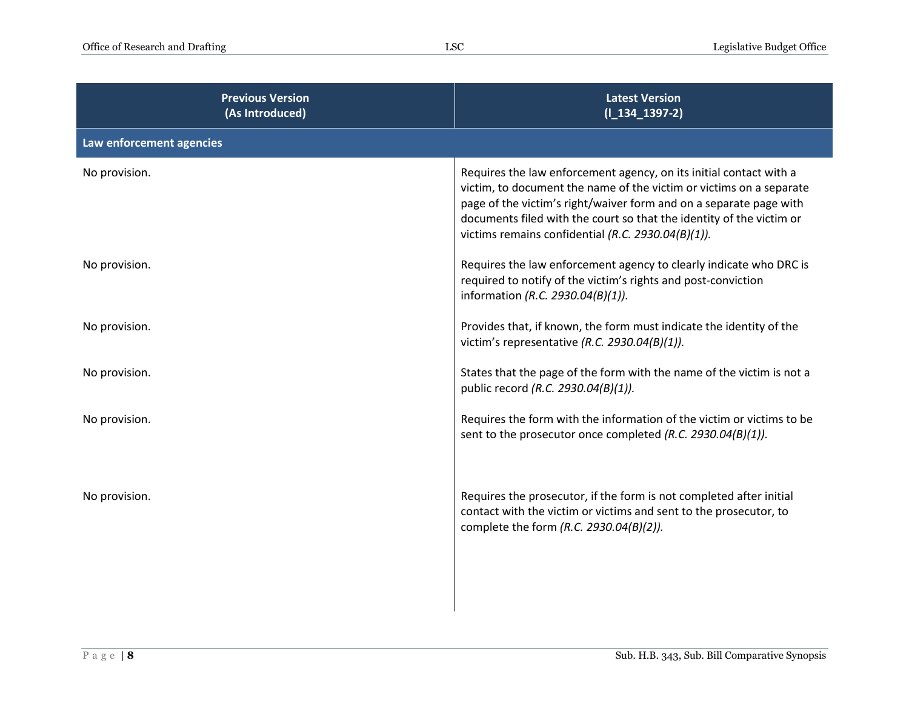| <b>Latest Version</b><br>$(I_134_1397-2)$                                                                                                                                                                                                                                                                                                     |
|-----------------------------------------------------------------------------------------------------------------------------------------------------------------------------------------------------------------------------------------------------------------------------------------------------------------------------------------------|
|                                                                                                                                                                                                                                                                                                                                               |
| Requires the law enforcement agency, on its initial contact with a<br>victim, to document the name of the victim or victims on a separate<br>page of the victim's right/waiver form and on a separate page with<br>documents filed with the court so that the identity of the victim or<br>victims remains confidential (R.C. 2930.04(B)(1)). |
| Requires the law enforcement agency to clearly indicate who DRC is<br>required to notify of the victim's rights and post-conviction<br>information (R.C. 2930.04(B)(1)).                                                                                                                                                                      |
| Provides that, if known, the form must indicate the identity of the<br>victim's representative (R.C. 2930.04(B)(1)).                                                                                                                                                                                                                          |
| States that the page of the form with the name of the victim is not a<br>public record (R.C. 2930.04(B)(1)).                                                                                                                                                                                                                                  |
| Requires the form with the information of the victim or victims to be<br>sent to the prosecutor once completed (R.C. 2930.04(B)(1)).                                                                                                                                                                                                          |
| Requires the prosecutor, if the form is not completed after initial<br>contact with the victim or victims and sent to the prosecutor, to<br>complete the form (R.C. 2930.04(B)(2)).                                                                                                                                                           |
|                                                                                                                                                                                                                                                                                                                                               |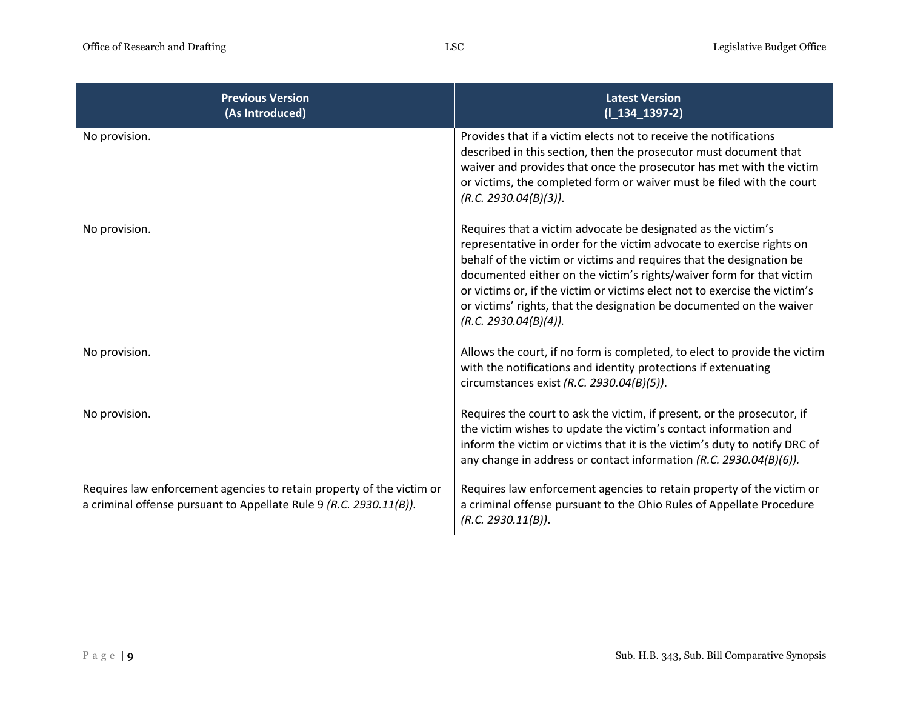| <b>Previous Version</b><br>(As Introduced)                                                                                                  | <b>Latest Version</b><br>$(I_134_1397-2)$                                                                                                                                                                                                                                                                                                                                                                                                                             |
|---------------------------------------------------------------------------------------------------------------------------------------------|-----------------------------------------------------------------------------------------------------------------------------------------------------------------------------------------------------------------------------------------------------------------------------------------------------------------------------------------------------------------------------------------------------------------------------------------------------------------------|
| No provision.                                                                                                                               | Provides that if a victim elects not to receive the notifications<br>described in this section, then the prosecutor must document that<br>waiver and provides that once the prosecutor has met with the victim<br>or victims, the completed form or waiver must be filed with the court<br>(R.C. 2930.04(B)(3)).                                                                                                                                                      |
| No provision.                                                                                                                               | Requires that a victim advocate be designated as the victim's<br>representative in order for the victim advocate to exercise rights on<br>behalf of the victim or victims and requires that the designation be<br>documented either on the victim's rights/waiver form for that victim<br>or victims or, if the victim or victims elect not to exercise the victim's<br>or victims' rights, that the designation be documented on the waiver<br>(R.C. 2930.04(B)(4)). |
| No provision.                                                                                                                               | Allows the court, if no form is completed, to elect to provide the victim<br>with the notifications and identity protections if extenuating<br>circumstances exist (R.C. 2930.04(B)(5)).                                                                                                                                                                                                                                                                              |
| No provision.                                                                                                                               | Requires the court to ask the victim, if present, or the prosecutor, if<br>the victim wishes to update the victim's contact information and<br>inform the victim or victims that it is the victim's duty to notify DRC of<br>any change in address or contact information (R.C. 2930.04(B)(6)).                                                                                                                                                                       |
| Requires law enforcement agencies to retain property of the victim or<br>a criminal offense pursuant to Appellate Rule 9 (R.C. 2930.11(B)). | Requires law enforcement agencies to retain property of the victim or<br>a criminal offense pursuant to the Ohio Rules of Appellate Procedure<br>(R.C. 2930.11(B)).                                                                                                                                                                                                                                                                                                   |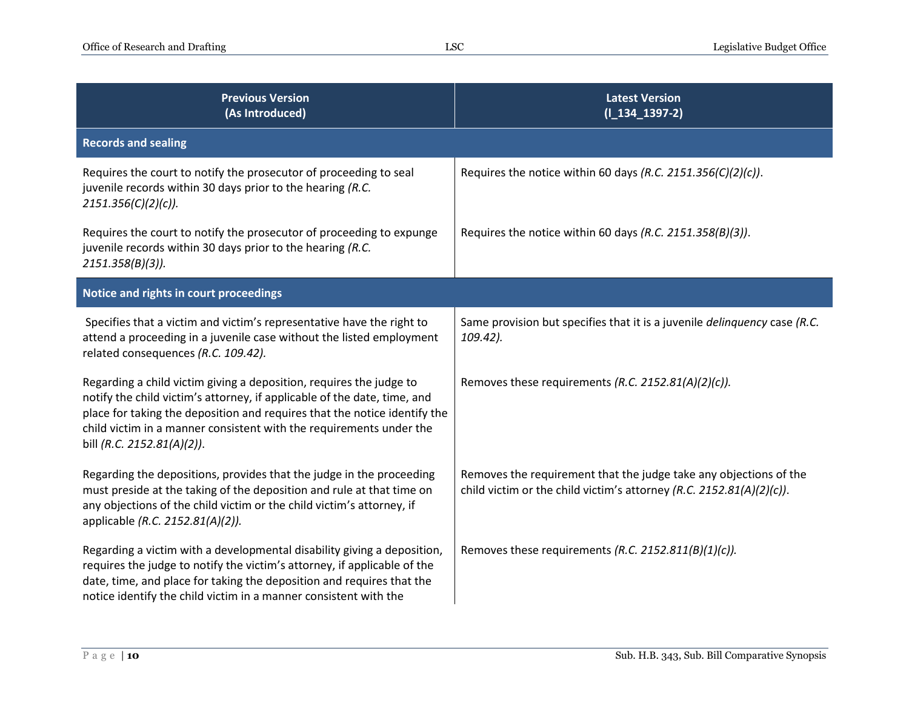| <b>Previous Version</b><br>(As Introduced)                                                                                                                                                                                                                                                                                        | <b>Latest Version</b><br>$(I_134_1397-2)$                                                                                                 |
|-----------------------------------------------------------------------------------------------------------------------------------------------------------------------------------------------------------------------------------------------------------------------------------------------------------------------------------|-------------------------------------------------------------------------------------------------------------------------------------------|
| <b>Records and sealing</b>                                                                                                                                                                                                                                                                                                        |                                                                                                                                           |
| Requires the court to notify the prosecutor of proceeding to seal<br>juvenile records within 30 days prior to the hearing (R.C.<br>$2151.356(C)(2)(c)$ .                                                                                                                                                                          | Requires the notice within 60 days (R.C. 2151.356(C)(2)(c)).                                                                              |
| Requires the court to notify the prosecutor of proceeding to expunge<br>juvenile records within 30 days prior to the hearing (R.C.<br>$2151.358(B)(3)$ ).                                                                                                                                                                         | Requires the notice within 60 days (R.C. 2151.358(B)(3)).                                                                                 |
| Notice and rights in court proceedings                                                                                                                                                                                                                                                                                            |                                                                                                                                           |
| Specifies that a victim and victim's representative have the right to<br>attend a proceeding in a juvenile case without the listed employment<br>related consequences (R.C. 109.42).                                                                                                                                              | Same provision but specifies that it is a juvenile <i>delinquency</i> case (R.C.<br>109.42).                                              |
| Regarding a child victim giving a deposition, requires the judge to<br>notify the child victim's attorney, if applicable of the date, time, and<br>place for taking the deposition and requires that the notice identify the<br>child victim in a manner consistent with the requirements under the<br>bill (R.C. 2152.81(A)(2)). | Removes these requirements (R.C. 2152.81(A)(2)(c)).                                                                                       |
| Regarding the depositions, provides that the judge in the proceeding<br>must preside at the taking of the deposition and rule at that time on<br>any objections of the child victim or the child victim's attorney, if<br>applicable (R.C. 2152.81(A)(2)).                                                                        | Removes the requirement that the judge take any objections of the<br>child victim or the child victim's attorney (R.C. 2152.81(A)(2)(c)). |
| Regarding a victim with a developmental disability giving a deposition,<br>requires the judge to notify the victim's attorney, if applicable of the<br>date, time, and place for taking the deposition and requires that the<br>notice identify the child victim in a manner consistent with the                                  | Removes these requirements (R.C. 2152.811(B)(1)(c)).                                                                                      |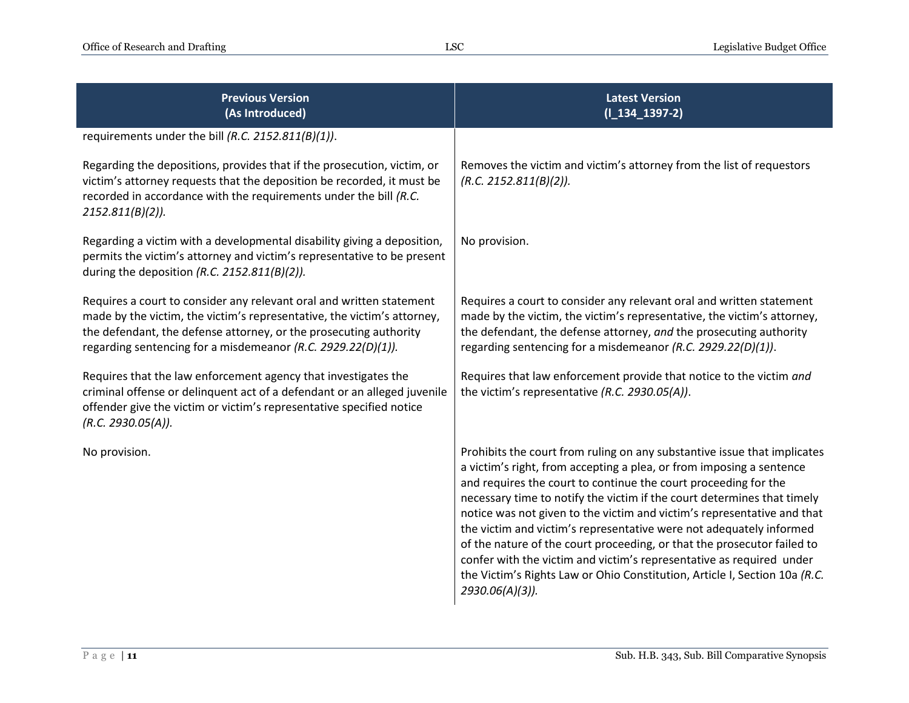| <b>Previous Version</b><br>(As Introduced)                                                                                                                                                                                                                                           | <b>Latest Version</b><br>$(I_134_1397-2)$                                                                                                                                                                                                                                                                                                                                                                                                                                                                                                                                                                                                                                                            |
|--------------------------------------------------------------------------------------------------------------------------------------------------------------------------------------------------------------------------------------------------------------------------------------|------------------------------------------------------------------------------------------------------------------------------------------------------------------------------------------------------------------------------------------------------------------------------------------------------------------------------------------------------------------------------------------------------------------------------------------------------------------------------------------------------------------------------------------------------------------------------------------------------------------------------------------------------------------------------------------------------|
| requirements under the bill (R.C. 2152.811(B)(1)).                                                                                                                                                                                                                                   |                                                                                                                                                                                                                                                                                                                                                                                                                                                                                                                                                                                                                                                                                                      |
| Regarding the depositions, provides that if the prosecution, victim, or<br>victim's attorney requests that the deposition be recorded, it must be<br>recorded in accordance with the requirements under the bill (R.C.<br>$2152.811(B)(2)$ ).                                        | Removes the victim and victim's attorney from the list of requestors<br>(R.C. 2152.811(B)(2)).                                                                                                                                                                                                                                                                                                                                                                                                                                                                                                                                                                                                       |
| Regarding a victim with a developmental disability giving a deposition,<br>permits the victim's attorney and victim's representative to be present<br>during the deposition (R.C. 2152.811(B)(2)).                                                                                   | No provision.                                                                                                                                                                                                                                                                                                                                                                                                                                                                                                                                                                                                                                                                                        |
| Requires a court to consider any relevant oral and written statement<br>made by the victim, the victim's representative, the victim's attorney,<br>the defendant, the defense attorney, or the prosecuting authority<br>regarding sentencing for a misdemeanor (R.C. 2929.22(D)(1)). | Requires a court to consider any relevant oral and written statement<br>made by the victim, the victim's representative, the victim's attorney,<br>the defendant, the defense attorney, and the prosecuting authority<br>regarding sentencing for a misdemeanor (R.C. 2929.22(D)(1)).                                                                                                                                                                                                                                                                                                                                                                                                                |
| Requires that the law enforcement agency that investigates the<br>criminal offense or delinquent act of a defendant or an alleged juvenile<br>offender give the victim or victim's representative specified notice<br>(R.C. 2930.05(A)).                                             | Requires that law enforcement provide that notice to the victim and<br>the victim's representative (R.C. 2930.05(A)).                                                                                                                                                                                                                                                                                                                                                                                                                                                                                                                                                                                |
| No provision.                                                                                                                                                                                                                                                                        | Prohibits the court from ruling on any substantive issue that implicates<br>a victim's right, from accepting a plea, or from imposing a sentence<br>and requires the court to continue the court proceeding for the<br>necessary time to notify the victim if the court determines that timely<br>notice was not given to the victim and victim's representative and that<br>the victim and victim's representative were not adequately informed<br>of the nature of the court proceeding, or that the prosecutor failed to<br>confer with the victim and victim's representative as required under<br>the Victim's Rights Law or Ohio Constitution, Article I, Section 10a (R.C.<br>2930.06(A)(3)). |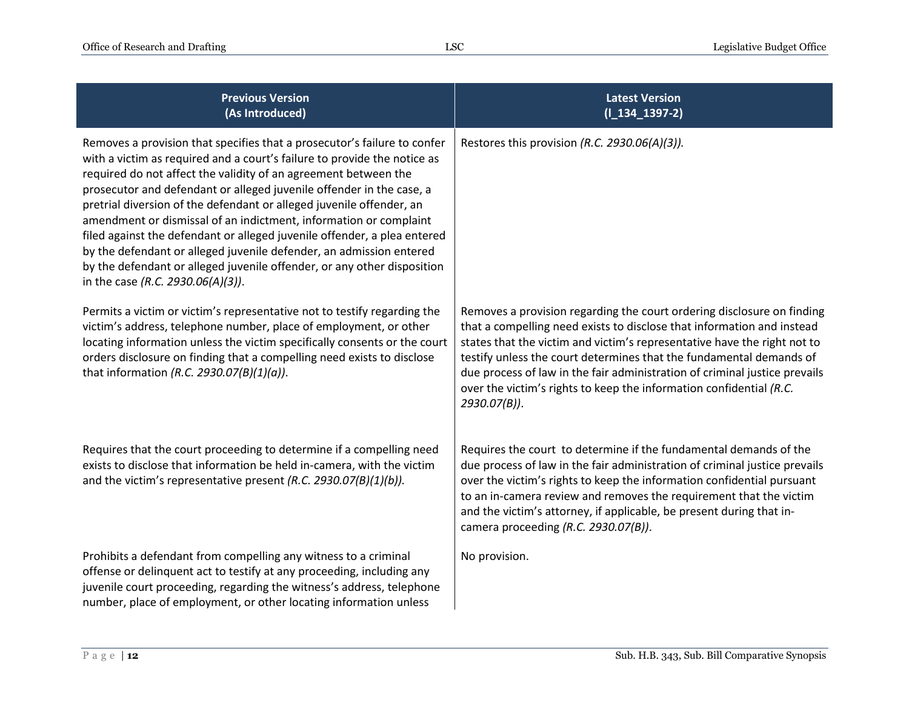| <b>Previous Version</b><br>(As Introduced)                                                                                                                                                                                                                                                                                                                                                                                                                                                                                                                                                                                                                                                                      | <b>Latest Version</b><br>$(I_134_1397-2)$                                                                                                                                                                                                                                                                                                                                                                                                                                   |
|-----------------------------------------------------------------------------------------------------------------------------------------------------------------------------------------------------------------------------------------------------------------------------------------------------------------------------------------------------------------------------------------------------------------------------------------------------------------------------------------------------------------------------------------------------------------------------------------------------------------------------------------------------------------------------------------------------------------|-----------------------------------------------------------------------------------------------------------------------------------------------------------------------------------------------------------------------------------------------------------------------------------------------------------------------------------------------------------------------------------------------------------------------------------------------------------------------------|
| Removes a provision that specifies that a prosecutor's failure to confer<br>with a victim as required and a court's failure to provide the notice as<br>required do not affect the validity of an agreement between the<br>prosecutor and defendant or alleged juvenile offender in the case, a<br>pretrial diversion of the defendant or alleged juvenile offender, an<br>amendment or dismissal of an indictment, information or complaint<br>filed against the defendant or alleged juvenile offender, a plea entered<br>by the defendant or alleged juvenile defender, an admission entered<br>by the defendant or alleged juvenile offender, or any other disposition<br>in the case (R.C. 2930.06(A)(3)). | Restores this provision (R.C. 2930.06(A)(3)).                                                                                                                                                                                                                                                                                                                                                                                                                               |
| Permits a victim or victim's representative not to testify regarding the<br>victim's address, telephone number, place of employment, or other<br>locating information unless the victim specifically consents or the court<br>orders disclosure on finding that a compelling need exists to disclose<br>that information (R.C. 2930.07(B)(1)(a)).                                                                                                                                                                                                                                                                                                                                                               | Removes a provision regarding the court ordering disclosure on finding<br>that a compelling need exists to disclose that information and instead<br>states that the victim and victim's representative have the right not to<br>testify unless the court determines that the fundamental demands of<br>due process of law in the fair administration of criminal justice prevails<br>over the victim's rights to keep the information confidential (R.C.<br>$2930.07(B)$ ). |
| Requires that the court proceeding to determine if a compelling need<br>exists to disclose that information be held in-camera, with the victim<br>and the victim's representative present (R.C. 2930.07(B)(1)(b)).                                                                                                                                                                                                                                                                                                                                                                                                                                                                                              | Requires the court to determine if the fundamental demands of the<br>due process of law in the fair administration of criminal justice prevails<br>over the victim's rights to keep the information confidential pursuant<br>to an in-camera review and removes the requirement that the victim<br>and the victim's attorney, if applicable, be present during that in-<br>camera proceeding (R.C. 2930.07(B)).                                                             |
| Prohibits a defendant from compelling any witness to a criminal<br>offense or delinquent act to testify at any proceeding, including any<br>juvenile court proceeding, regarding the witness's address, telephone<br>number, place of employment, or other locating information unless                                                                                                                                                                                                                                                                                                                                                                                                                          | No provision.                                                                                                                                                                                                                                                                                                                                                                                                                                                               |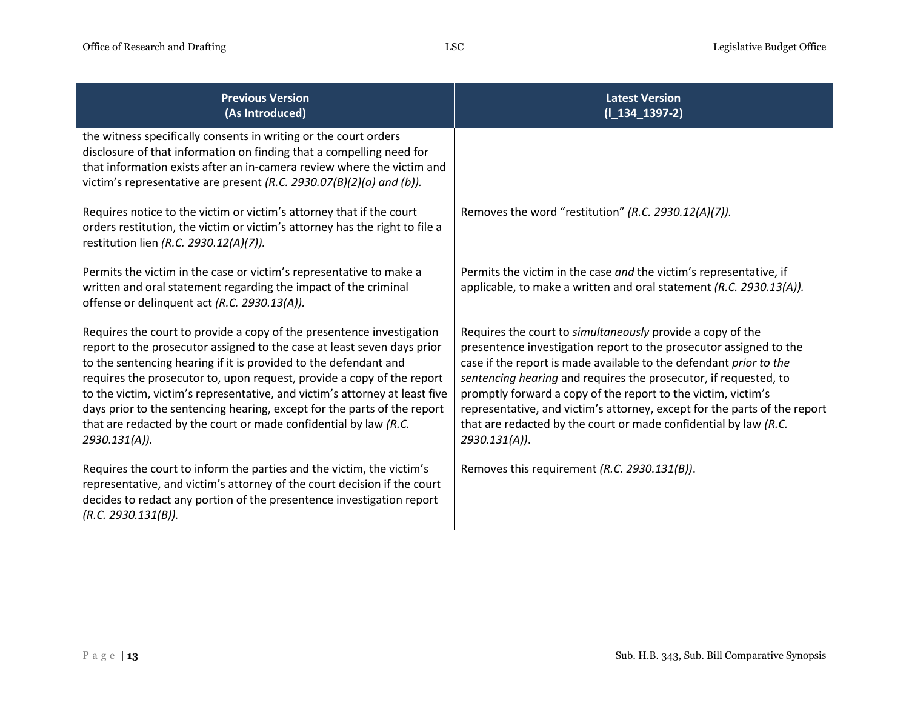| <b>Previous Version</b><br>(As Introduced)                                                                                                                                                                                                                                                                                                                                                                                                                                                                                                     | <b>Latest Version</b><br>$(I_134_1397-2)$                                                                                                                                                                                                                                                                                                                                                                                                                                                                        |
|------------------------------------------------------------------------------------------------------------------------------------------------------------------------------------------------------------------------------------------------------------------------------------------------------------------------------------------------------------------------------------------------------------------------------------------------------------------------------------------------------------------------------------------------|------------------------------------------------------------------------------------------------------------------------------------------------------------------------------------------------------------------------------------------------------------------------------------------------------------------------------------------------------------------------------------------------------------------------------------------------------------------------------------------------------------------|
| the witness specifically consents in writing or the court orders<br>disclosure of that information on finding that a compelling need for<br>that information exists after an in-camera review where the victim and<br>victim's representative are present (R.C. 2930.07(B)(2)(a) and (b)).                                                                                                                                                                                                                                                     |                                                                                                                                                                                                                                                                                                                                                                                                                                                                                                                  |
| Requires notice to the victim or victim's attorney that if the court<br>orders restitution, the victim or victim's attorney has the right to file a<br>restitution lien (R.C. 2930.12(A)(7)).                                                                                                                                                                                                                                                                                                                                                  | Removes the word "restitution" (R.C. 2930.12(A)(7)).                                                                                                                                                                                                                                                                                                                                                                                                                                                             |
| Permits the victim in the case or victim's representative to make a<br>written and oral statement regarding the impact of the criminal<br>offense or delinquent act (R.C. 2930.13(A)).                                                                                                                                                                                                                                                                                                                                                         | Permits the victim in the case and the victim's representative, if<br>applicable, to make a written and oral statement (R.C. 2930.13(A)).                                                                                                                                                                                                                                                                                                                                                                        |
| Requires the court to provide a copy of the presentence investigation<br>report to the prosecutor assigned to the case at least seven days prior<br>to the sentencing hearing if it is provided to the defendant and<br>requires the prosecutor to, upon request, provide a copy of the report<br>to the victim, victim's representative, and victim's attorney at least five<br>days prior to the sentencing hearing, except for the parts of the report<br>that are redacted by the court or made confidential by law (R.C.<br>2930.131(A)). | Requires the court to simultaneously provide a copy of the<br>presentence investigation report to the prosecutor assigned to the<br>case if the report is made available to the defendant prior to the<br>sentencing hearing and requires the prosecutor, if requested, to<br>promptly forward a copy of the report to the victim, victim's<br>representative, and victim's attorney, except for the parts of the report<br>that are redacted by the court or made confidential by law (R.C.<br>$2930.131(A)$ ). |
| Requires the court to inform the parties and the victim, the victim's<br>representative, and victim's attorney of the court decision if the court<br>decides to redact any portion of the presentence investigation report<br>(R.C. 2930.131(B)).                                                                                                                                                                                                                                                                                              | Removes this requirement (R.C. 2930.131(B)).                                                                                                                                                                                                                                                                                                                                                                                                                                                                     |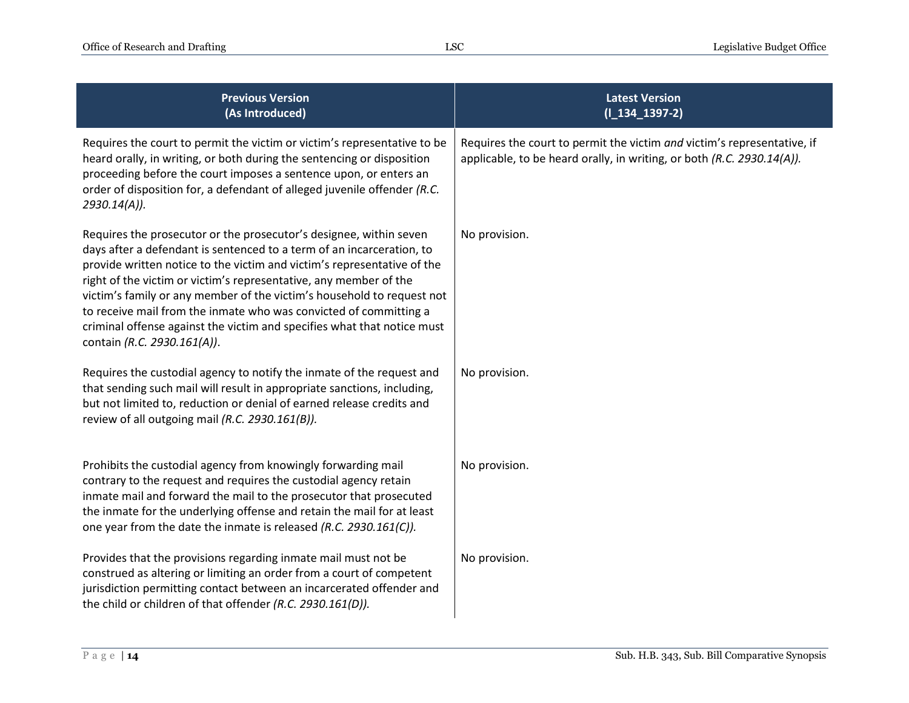| <b>Previous Version</b><br>(As Introduced)                                                                                                                                                                                                                                                                                                                                                                                                                                                                                                           | <b>Latest Version</b><br>$(I_134_1397-2)$                                                                                                         |
|------------------------------------------------------------------------------------------------------------------------------------------------------------------------------------------------------------------------------------------------------------------------------------------------------------------------------------------------------------------------------------------------------------------------------------------------------------------------------------------------------------------------------------------------------|---------------------------------------------------------------------------------------------------------------------------------------------------|
| Requires the court to permit the victim or victim's representative to be<br>heard orally, in writing, or both during the sentencing or disposition<br>proceeding before the court imposes a sentence upon, or enters an<br>order of disposition for, a defendant of alleged juvenile offender (R.C.<br>2930.14(A)).                                                                                                                                                                                                                                  | Requires the court to permit the victim and victim's representative, if<br>applicable, to be heard orally, in writing, or both (R.C. 2930.14(A)). |
| Requires the prosecutor or the prosecutor's designee, within seven<br>days after a defendant is sentenced to a term of an incarceration, to<br>provide written notice to the victim and victim's representative of the<br>right of the victim or victim's representative, any member of the<br>victim's family or any member of the victim's household to request not<br>to receive mail from the inmate who was convicted of committing a<br>criminal offense against the victim and specifies what that notice must<br>contain (R.C. 2930.161(A)). | No provision.                                                                                                                                     |
| Requires the custodial agency to notify the inmate of the request and<br>that sending such mail will result in appropriate sanctions, including,<br>but not limited to, reduction or denial of earned release credits and<br>review of all outgoing mail (R.C. 2930.161(B)).                                                                                                                                                                                                                                                                         | No provision.                                                                                                                                     |
| Prohibits the custodial agency from knowingly forwarding mail<br>contrary to the request and requires the custodial agency retain<br>inmate mail and forward the mail to the prosecutor that prosecuted<br>the inmate for the underlying offense and retain the mail for at least<br>one year from the date the inmate is released (R.C. 2930.161(C)).                                                                                                                                                                                               | No provision.                                                                                                                                     |
| Provides that the provisions regarding inmate mail must not be<br>construed as altering or limiting an order from a court of competent<br>jurisdiction permitting contact between an incarcerated offender and<br>the child or children of that offender (R.C. 2930.161(D)).                                                                                                                                                                                                                                                                         | No provision.                                                                                                                                     |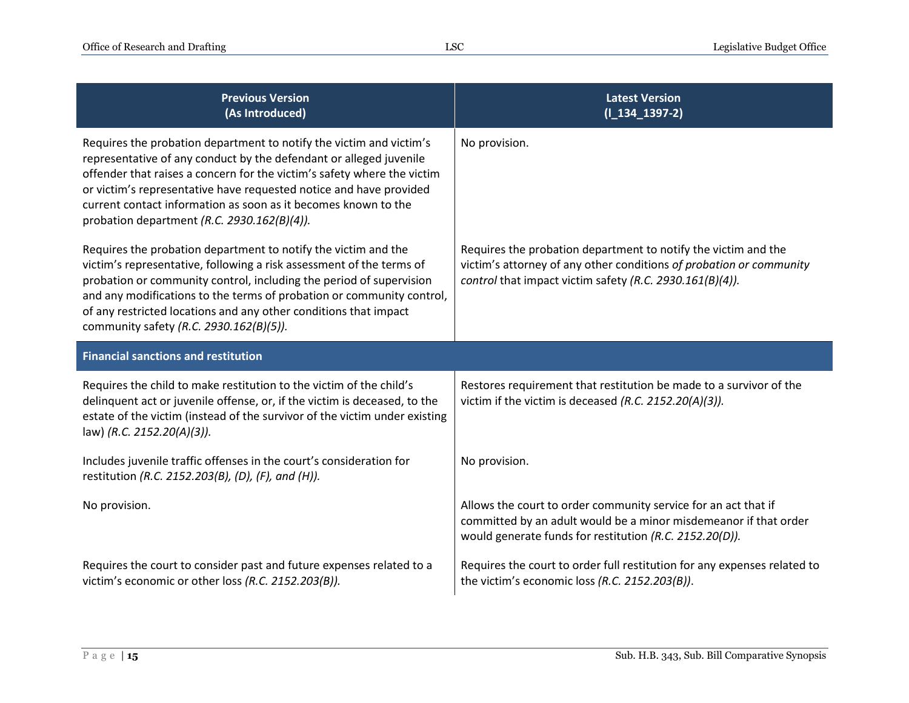| <b>Previous Version</b><br>(As Introduced)                                                                                                                                                                                                                                                                                                                                                                  | <b>Latest Version</b><br>$(I_134_1397-2)$                                                                                                                                                         |
|-------------------------------------------------------------------------------------------------------------------------------------------------------------------------------------------------------------------------------------------------------------------------------------------------------------------------------------------------------------------------------------------------------------|---------------------------------------------------------------------------------------------------------------------------------------------------------------------------------------------------|
| Requires the probation department to notify the victim and victim's<br>representative of any conduct by the defendant or alleged juvenile<br>offender that raises a concern for the victim's safety where the victim<br>or victim's representative have requested notice and have provided<br>current contact information as soon as it becomes known to the<br>probation department (R.C. 2930.162(B)(4)). | No provision.                                                                                                                                                                                     |
| Requires the probation department to notify the victim and the<br>victim's representative, following a risk assessment of the terms of<br>probation or community control, including the period of supervision<br>and any modifications to the terms of probation or community control,<br>of any restricted locations and any other conditions that impact<br>community safety (R.C. 2930.162(B)(5)).       | Requires the probation department to notify the victim and the<br>victim's attorney of any other conditions of probation or community<br>control that impact victim safety (R.C. 2930.161(B)(4)). |
|                                                                                                                                                                                                                                                                                                                                                                                                             |                                                                                                                                                                                                   |
| <b>Financial sanctions and restitution</b>                                                                                                                                                                                                                                                                                                                                                                  |                                                                                                                                                                                                   |
| Requires the child to make restitution to the victim of the child's<br>delinquent act or juvenile offense, or, if the victim is deceased, to the<br>estate of the victim (instead of the survivor of the victim under existing<br>law) (R.C. 2152.20(A)(3)).                                                                                                                                                | Restores requirement that restitution be made to a survivor of the<br>victim if the victim is deceased (R.C. 2152.20(A)(3)).                                                                      |
| Includes juvenile traffic offenses in the court's consideration for<br>restitution (R.C. 2152.203(B), (D), (F), and (H)).                                                                                                                                                                                                                                                                                   | No provision.                                                                                                                                                                                     |
| No provision.                                                                                                                                                                                                                                                                                                                                                                                               | Allows the court to order community service for an act that if<br>committed by an adult would be a minor misdemeanor if that order<br>would generate funds for restitution (R.C. 2152.20(D)).     |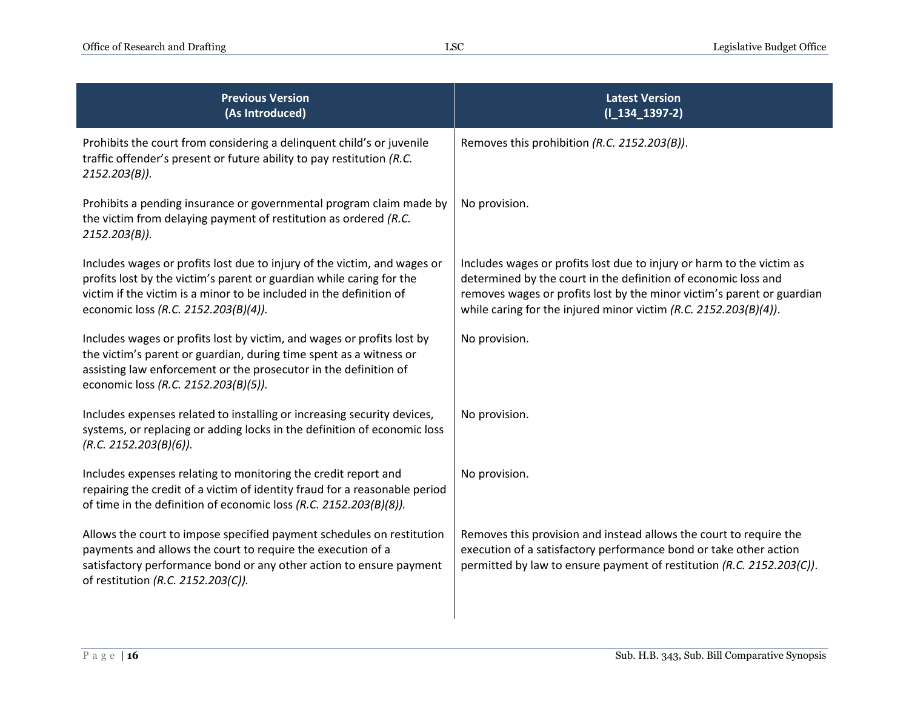| <b>Previous Version</b><br>(As Introduced)                                                                                                                                                                                                                      | <b>Latest Version</b><br>$(I_134_1397-2)$                                                                                                                                                                                                                                               |
|-----------------------------------------------------------------------------------------------------------------------------------------------------------------------------------------------------------------------------------------------------------------|-----------------------------------------------------------------------------------------------------------------------------------------------------------------------------------------------------------------------------------------------------------------------------------------|
| Prohibits the court from considering a delinquent child's or juvenile<br>traffic offender's present or future ability to pay restitution (R.C.<br>$2152.203(B)$ ).                                                                                              | Removes this prohibition (R.C. 2152.203(B)).                                                                                                                                                                                                                                            |
| Prohibits a pending insurance or governmental program claim made by<br>the victim from delaying payment of restitution as ordered (R.C.<br>$2152.203(B)$ ).                                                                                                     | No provision.                                                                                                                                                                                                                                                                           |
| Includes wages or profits lost due to injury of the victim, and wages or<br>profits lost by the victim's parent or guardian while caring for the<br>victim if the victim is a minor to be included in the definition of<br>economic loss (R.C. 2152.203(B)(4)). | Includes wages or profits lost due to injury or harm to the victim as<br>determined by the court in the definition of economic loss and<br>removes wages or profits lost by the minor victim's parent or guardian<br>while caring for the injured minor victim $(R.C. 2152.203(B)(4)).$ |
| Includes wages or profits lost by victim, and wages or profits lost by<br>the victim's parent or guardian, during time spent as a witness or<br>assisting law enforcement or the prosecutor in the definition of<br>economic loss (R.C. 2152.203(B)(5)).        | No provision.                                                                                                                                                                                                                                                                           |
| Includes expenses related to installing or increasing security devices,<br>systems, or replacing or adding locks in the definition of economic loss<br>(R.C. 2152.203(B)(6)).                                                                                   | No provision.                                                                                                                                                                                                                                                                           |
| Includes expenses relating to monitoring the credit report and<br>repairing the credit of a victim of identity fraud for a reasonable period<br>of time in the definition of economic loss (R.C. 2152.203(B)(8)).                                               | No provision.                                                                                                                                                                                                                                                                           |
| Allows the court to impose specified payment schedules on restitution<br>payments and allows the court to require the execution of a<br>satisfactory performance bond or any other action to ensure payment<br>of restitution (R.C. 2152.203(C)).               | Removes this provision and instead allows the court to require the<br>execution of a satisfactory performance bond or take other action<br>permitted by law to ensure payment of restitution (R.C. 2152.203(C)).                                                                        |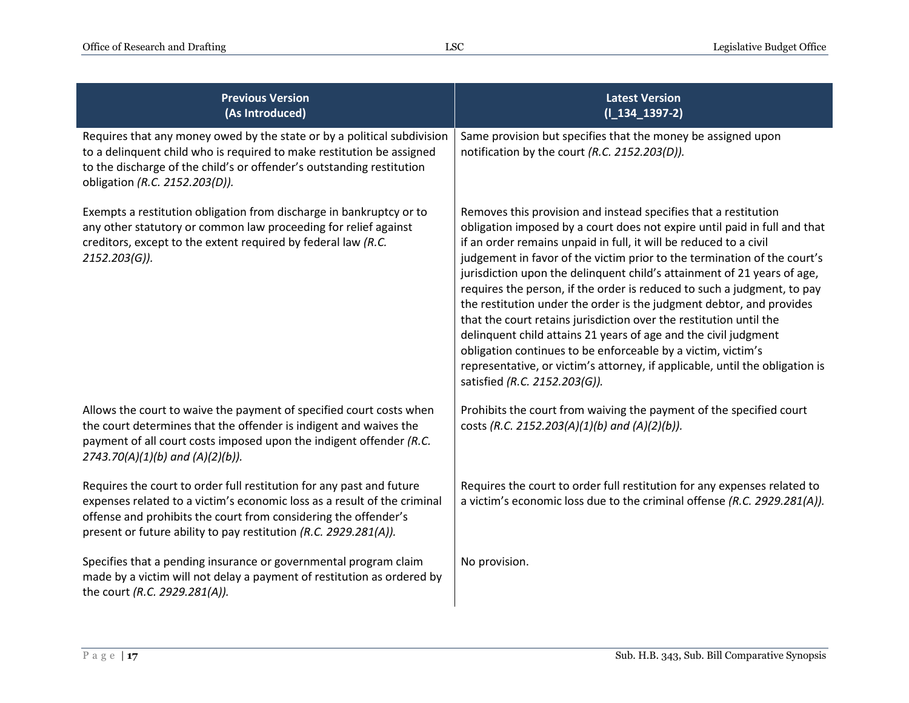| <b>Previous Version</b><br>(As Introduced)                                                                                                                                                                                                                                              | <b>Latest Version</b><br>$(I_134_1397-2)$                                                                                                                                                                                                                                                                                                                                                                                                                                                                                                                                                                                                                                                                                                                                                                                                             |
|-----------------------------------------------------------------------------------------------------------------------------------------------------------------------------------------------------------------------------------------------------------------------------------------|-------------------------------------------------------------------------------------------------------------------------------------------------------------------------------------------------------------------------------------------------------------------------------------------------------------------------------------------------------------------------------------------------------------------------------------------------------------------------------------------------------------------------------------------------------------------------------------------------------------------------------------------------------------------------------------------------------------------------------------------------------------------------------------------------------------------------------------------------------|
| Requires that any money owed by the state or by a political subdivision<br>to a delinquent child who is required to make restitution be assigned<br>to the discharge of the child's or offender's outstanding restitution<br>obligation (R.C. 2152.203(D)).                             | Same provision but specifies that the money be assigned upon<br>notification by the court (R.C. 2152.203(D)).                                                                                                                                                                                                                                                                                                                                                                                                                                                                                                                                                                                                                                                                                                                                         |
| Exempts a restitution obligation from discharge in bankruptcy or to<br>any other statutory or common law proceeding for relief against<br>creditors, except to the extent required by federal law (R.C.<br>$2152.203(G)$ ).                                                             | Removes this provision and instead specifies that a restitution<br>obligation imposed by a court does not expire until paid in full and that<br>if an order remains unpaid in full, it will be reduced to a civil<br>judgement in favor of the victim prior to the termination of the court's<br>jurisdiction upon the delinquent child's attainment of 21 years of age,<br>requires the person, if the order is reduced to such a judgment, to pay<br>the restitution under the order is the judgment debtor, and provides<br>that the court retains jurisdiction over the restitution until the<br>delinquent child attains 21 years of age and the civil judgment<br>obligation continues to be enforceable by a victim, victim's<br>representative, or victim's attorney, if applicable, until the obligation is<br>satisfied (R.C. 2152.203(G)). |
| Allows the court to waive the payment of specified court costs when<br>the court determines that the offender is indigent and waives the<br>payment of all court costs imposed upon the indigent offender (R.C.<br>$2743.70(A)(1)(b)$ and $(A)(2)(b)$ ).                                | Prohibits the court from waiving the payment of the specified court<br>costs (R.C. 2152.203(A)(1)(b) and (A)(2)(b)).                                                                                                                                                                                                                                                                                                                                                                                                                                                                                                                                                                                                                                                                                                                                  |
| Requires the court to order full restitution for any past and future<br>expenses related to a victim's economic loss as a result of the criminal<br>offense and prohibits the court from considering the offender's<br>present or future ability to pay restitution (R.C. 2929.281(A)). | Requires the court to order full restitution for any expenses related to<br>a victim's economic loss due to the criminal offense (R.C. 2929.281(A)).                                                                                                                                                                                                                                                                                                                                                                                                                                                                                                                                                                                                                                                                                                  |
| Specifies that a pending insurance or governmental program claim<br>made by a victim will not delay a payment of restitution as ordered by<br>the court (R.C. 2929.281(A)).                                                                                                             | No provision.                                                                                                                                                                                                                                                                                                                                                                                                                                                                                                                                                                                                                                                                                                                                                                                                                                         |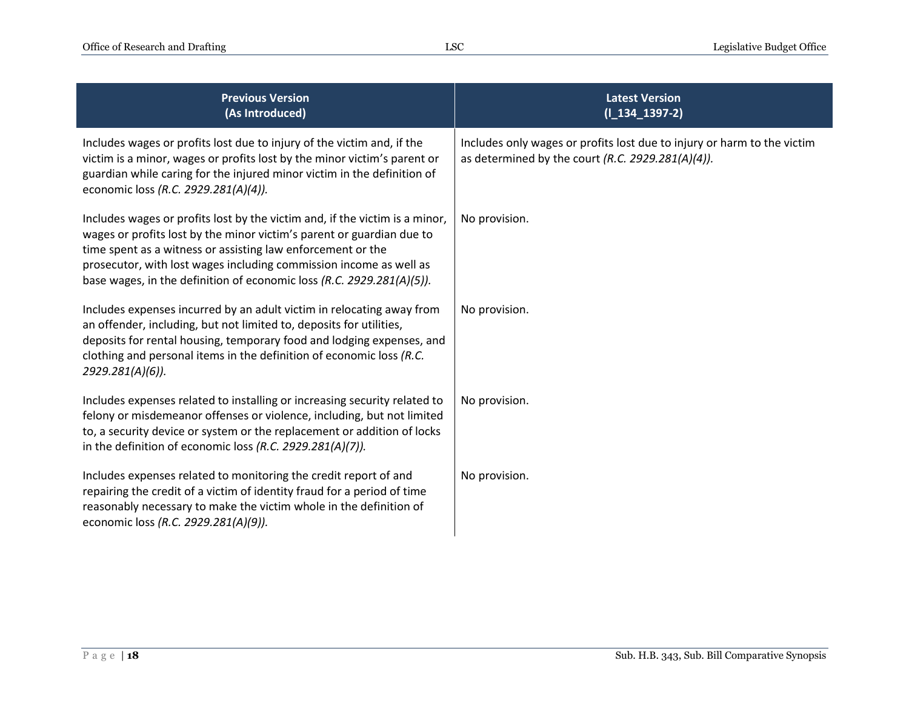| <b>Previous Version</b><br>(As Introduced)                                                                                                                                                                                                                                                                                                                         | <b>Latest Version</b><br>$(I_134_1397-2)$                                                                                    |
|--------------------------------------------------------------------------------------------------------------------------------------------------------------------------------------------------------------------------------------------------------------------------------------------------------------------------------------------------------------------|------------------------------------------------------------------------------------------------------------------------------|
| Includes wages or profits lost due to injury of the victim and, if the<br>victim is a minor, wages or profits lost by the minor victim's parent or<br>guardian while caring for the injured minor victim in the definition of<br>economic loss (R.C. 2929.281(A)(4)).                                                                                              | Includes only wages or profits lost due to injury or harm to the victim<br>as determined by the court (R.C. 2929.281(A)(4)). |
| Includes wages or profits lost by the victim and, if the victim is a minor,<br>wages or profits lost by the minor victim's parent or guardian due to<br>time spent as a witness or assisting law enforcement or the<br>prosecutor, with lost wages including commission income as well as<br>base wages, in the definition of economic loss (R.C. 2929.281(A)(5)). | No provision.                                                                                                                |
| Includes expenses incurred by an adult victim in relocating away from<br>an offender, including, but not limited to, deposits for utilities,<br>deposits for rental housing, temporary food and lodging expenses, and<br>clothing and personal items in the definition of economic loss (R.C.<br>2929.281(A)(6)).                                                  | No provision.                                                                                                                |
| Includes expenses related to installing or increasing security related to<br>felony or misdemeanor offenses or violence, including, but not limited<br>to, a security device or system or the replacement or addition of locks<br>in the definition of economic loss (R.C. 2929.281(A)(7)).                                                                        | No provision.                                                                                                                |
| Includes expenses related to monitoring the credit report of and<br>repairing the credit of a victim of identity fraud for a period of time<br>reasonably necessary to make the victim whole in the definition of<br>economic loss (R.C. 2929.281(A)(9)).                                                                                                          | No provision.                                                                                                                |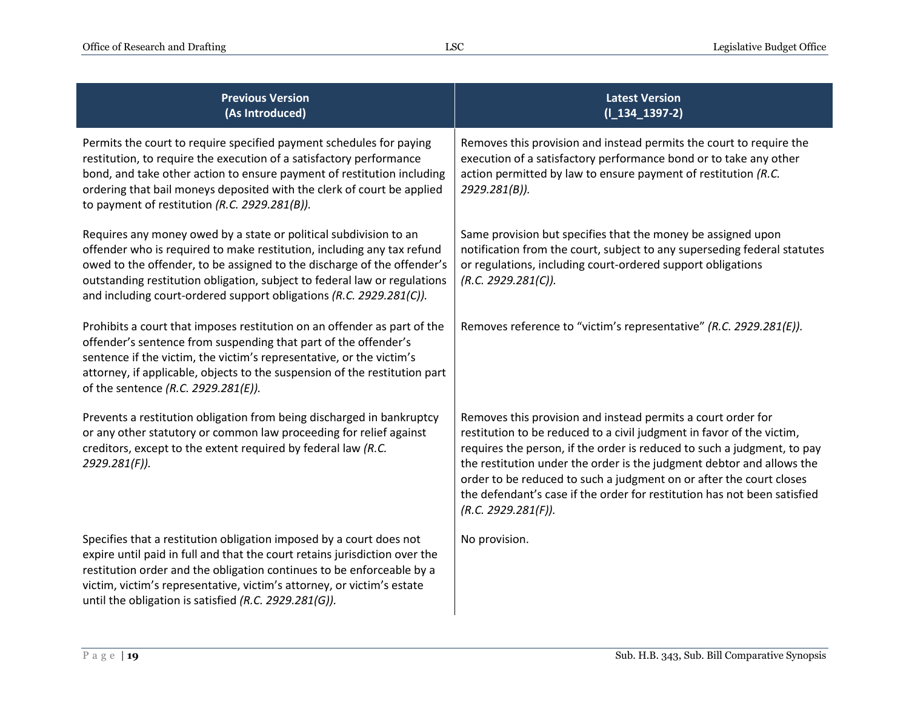| <b>Previous Version</b><br>(As Introduced)                                                                                                                                                                                                                                                                                                                                 | <b>Latest Version</b><br>$(I_134_1397-2)$                                                                                                                                                                                                                                                                                                                                                                                                                           |
|----------------------------------------------------------------------------------------------------------------------------------------------------------------------------------------------------------------------------------------------------------------------------------------------------------------------------------------------------------------------------|---------------------------------------------------------------------------------------------------------------------------------------------------------------------------------------------------------------------------------------------------------------------------------------------------------------------------------------------------------------------------------------------------------------------------------------------------------------------|
| Permits the court to require specified payment schedules for paying<br>restitution, to require the execution of a satisfactory performance<br>bond, and take other action to ensure payment of restitution including<br>ordering that bail moneys deposited with the clerk of court be applied<br>to payment of restitution (R.C. 2929.281(B)).                            | Removes this provision and instead permits the court to require the<br>execution of a satisfactory performance bond or to take any other<br>action permitted by law to ensure payment of restitution (R.C.<br>2929.281(B)).                                                                                                                                                                                                                                         |
| Requires any money owed by a state or political subdivision to an<br>offender who is required to make restitution, including any tax refund<br>owed to the offender, to be assigned to the discharge of the offender's<br>outstanding restitution obligation, subject to federal law or regulations<br>and including court-ordered support obligations (R.C. 2929.281(C)). | Same provision but specifies that the money be assigned upon<br>notification from the court, subject to any superseding federal statutes<br>or regulations, including court-ordered support obligations<br>(R.C. 2929.281(C)).                                                                                                                                                                                                                                      |
| Prohibits a court that imposes restitution on an offender as part of the<br>offender's sentence from suspending that part of the offender's<br>sentence if the victim, the victim's representative, or the victim's<br>attorney, if applicable, objects to the suspension of the restitution part<br>of the sentence (R.C. 2929.281(E)).                                   | Removes reference to "victim's representative" (R.C. 2929.281(E)).                                                                                                                                                                                                                                                                                                                                                                                                  |
| Prevents a restitution obligation from being discharged in bankruptcy<br>or any other statutory or common law proceeding for relief against<br>creditors, except to the extent required by federal law (R.C.<br>2929.281(F)).                                                                                                                                              | Removes this provision and instead permits a court order for<br>restitution to be reduced to a civil judgment in favor of the victim,<br>requires the person, if the order is reduced to such a judgment, to pay<br>the restitution under the order is the judgment debtor and allows the<br>order to be reduced to such a judgment on or after the court closes<br>the defendant's case if the order for restitution has not been satisfied<br>(R.C. 2929.281(F)). |
| Specifies that a restitution obligation imposed by a court does not<br>expire until paid in full and that the court retains jurisdiction over the<br>restitution order and the obligation continues to be enforceable by a<br>victim, victim's representative, victim's attorney, or victim's estate<br>until the obligation is satisfied (R.C. 2929.281(G)).              | No provision.                                                                                                                                                                                                                                                                                                                                                                                                                                                       |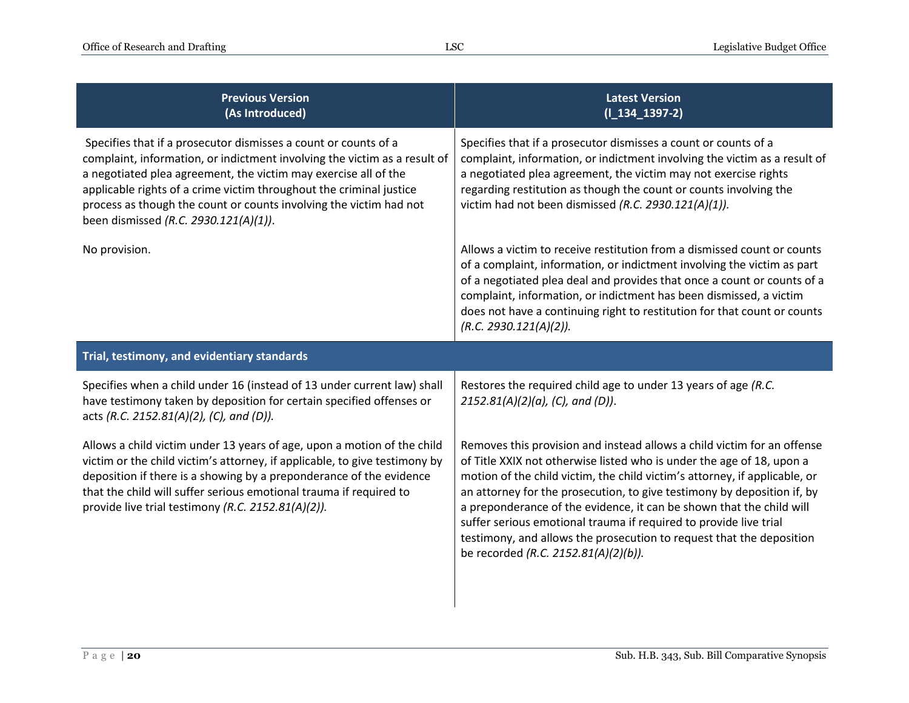| <b>Previous Version</b><br>(As Introduced)                                                                                                                                                                                                                                                                                                                                                            | <b>Latest Version</b><br>$(I_134_1397-2)$                                                                                                                                                                                                                                                                                                                                                                                                                                                                                                                              |
|-------------------------------------------------------------------------------------------------------------------------------------------------------------------------------------------------------------------------------------------------------------------------------------------------------------------------------------------------------------------------------------------------------|------------------------------------------------------------------------------------------------------------------------------------------------------------------------------------------------------------------------------------------------------------------------------------------------------------------------------------------------------------------------------------------------------------------------------------------------------------------------------------------------------------------------------------------------------------------------|
| Specifies that if a prosecutor dismisses a count or counts of a<br>complaint, information, or indictment involving the victim as a result of<br>a negotiated plea agreement, the victim may exercise all of the<br>applicable rights of a crime victim throughout the criminal justice<br>process as though the count or counts involving the victim had not<br>been dismissed (R.C. 2930.121(A)(1)). | Specifies that if a prosecutor dismisses a count or counts of a<br>complaint, information, or indictment involving the victim as a result of<br>a negotiated plea agreement, the victim may not exercise rights<br>regarding restitution as though the count or counts involving the<br>victim had not been dismissed (R.C. 2930.121(A)(1)).                                                                                                                                                                                                                           |
| No provision.                                                                                                                                                                                                                                                                                                                                                                                         | Allows a victim to receive restitution from a dismissed count or counts<br>of a complaint, information, or indictment involving the victim as part<br>of a negotiated plea deal and provides that once a count or counts of a<br>complaint, information, or indictment has been dismissed, a victim<br>does not have a continuing right to restitution for that count or counts<br>(R.C. 2930.121(A)(2)).                                                                                                                                                              |
| Trial, testimony, and evidentiary standards                                                                                                                                                                                                                                                                                                                                                           |                                                                                                                                                                                                                                                                                                                                                                                                                                                                                                                                                                        |
| Specifies when a child under 16 (instead of 13 under current law) shall<br>have testimony taken by deposition for certain specified offenses or<br>acts (R.C. 2152.81(A)(2), (C), and (D)).                                                                                                                                                                                                           | Restores the required child age to under 13 years of age (R.C.<br>$2152.81(A)(2)(a)$ , (C), and (D)).                                                                                                                                                                                                                                                                                                                                                                                                                                                                  |
| Allows a child victim under 13 years of age, upon a motion of the child<br>victim or the child victim's attorney, if applicable, to give testimony by<br>deposition if there is a showing by a preponderance of the evidence<br>that the child will suffer serious emotional trauma if required to<br>provide live trial testimony (R.C. 2152.81(A)(2)).                                              | Removes this provision and instead allows a child victim for an offense<br>of Title XXIX not otherwise listed who is under the age of 18, upon a<br>motion of the child victim, the child victim's attorney, if applicable, or<br>an attorney for the prosecution, to give testimony by deposition if, by<br>a preponderance of the evidence, it can be shown that the child will<br>suffer serious emotional trauma if required to provide live trial<br>testimony, and allows the prosecution to request that the deposition<br>be recorded (R.C. 2152.81(A)(2)(b)). |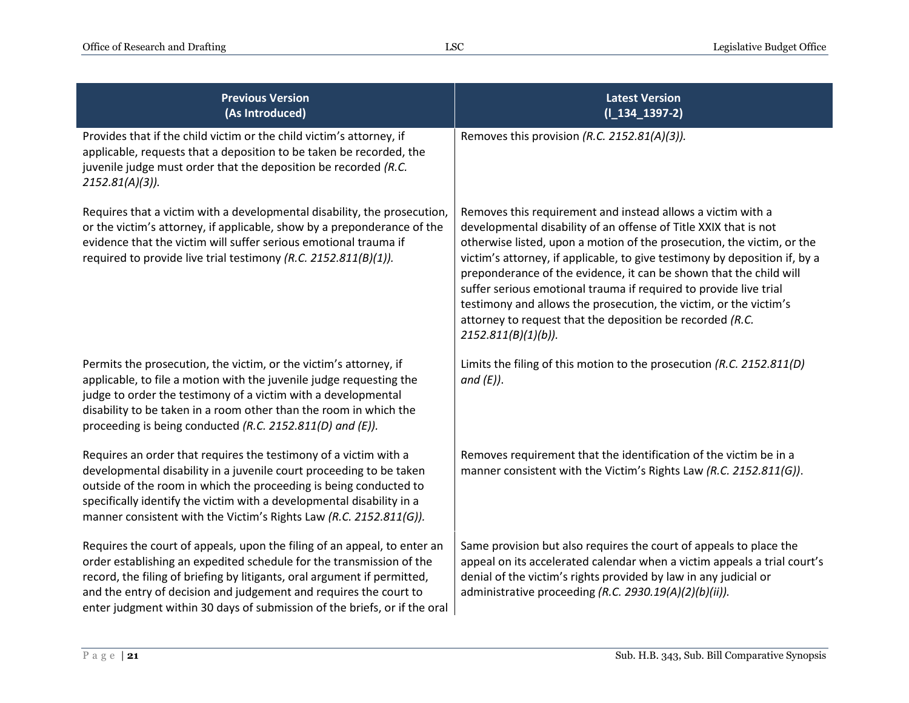| <b>Previous Version</b><br>(As Introduced)                                                                                                                                                                                                                                                                                                                                     | <b>Latest Version</b><br>$(I_134_1397-2)$                                                                                                                                                                                                                                                                                                                                                                                                                                                                                                                                                   |
|--------------------------------------------------------------------------------------------------------------------------------------------------------------------------------------------------------------------------------------------------------------------------------------------------------------------------------------------------------------------------------|---------------------------------------------------------------------------------------------------------------------------------------------------------------------------------------------------------------------------------------------------------------------------------------------------------------------------------------------------------------------------------------------------------------------------------------------------------------------------------------------------------------------------------------------------------------------------------------------|
| Provides that if the child victim or the child victim's attorney, if<br>applicable, requests that a deposition to be taken be recorded, the<br>juvenile judge must order that the deposition be recorded (R.C.<br>$2152.81(A)(3)$ ).                                                                                                                                           | Removes this provision (R.C. 2152.81(A)(3)).                                                                                                                                                                                                                                                                                                                                                                                                                                                                                                                                                |
| Requires that a victim with a developmental disability, the prosecution,<br>or the victim's attorney, if applicable, show by a preponderance of the<br>evidence that the victim will suffer serious emotional trauma if<br>required to provide live trial testimony (R.C. 2152.811(B)(1)).                                                                                     | Removes this requirement and instead allows a victim with a<br>developmental disability of an offense of Title XXIX that is not<br>otherwise listed, upon a motion of the prosecution, the victim, or the<br>victim's attorney, if applicable, to give testimony by deposition if, by a<br>preponderance of the evidence, it can be shown that the child will<br>suffer serious emotional trauma if required to provide live trial<br>testimony and allows the prosecution, the victim, or the victim's<br>attorney to request that the deposition be recorded (R.C.<br>2152.811(B)(1)(b)). |
| Permits the prosecution, the victim, or the victim's attorney, if<br>applicable, to file a motion with the juvenile judge requesting the<br>judge to order the testimony of a victim with a developmental<br>disability to be taken in a room other than the room in which the<br>proceeding is being conducted (R.C. 2152.811(D) and (E)).                                    | Limits the filing of this motion to the prosecution (R.C. 2152.811(D)<br>and $(E)$ ).                                                                                                                                                                                                                                                                                                                                                                                                                                                                                                       |
| Requires an order that requires the testimony of a victim with a<br>developmental disability in a juvenile court proceeding to be taken<br>outside of the room in which the proceeding is being conducted to<br>specifically identify the victim with a developmental disability in a<br>manner consistent with the Victim's Rights Law (R.C. 2152.811(G)).                    | Removes requirement that the identification of the victim be in a<br>manner consistent with the Victim's Rights Law (R.C. 2152.811(G)).                                                                                                                                                                                                                                                                                                                                                                                                                                                     |
| Requires the court of appeals, upon the filing of an appeal, to enter an<br>order establishing an expedited schedule for the transmission of the<br>record, the filing of briefing by litigants, oral argument if permitted,<br>and the entry of decision and judgement and requires the court to<br>enter judgment within 30 days of submission of the briefs, or if the oral | Same provision but also requires the court of appeals to place the<br>appeal on its accelerated calendar when a victim appeals a trial court's<br>denial of the victim's rights provided by law in any judicial or<br>administrative proceeding (R.C. 2930.19(A)(2)(b)(ii)).                                                                                                                                                                                                                                                                                                                |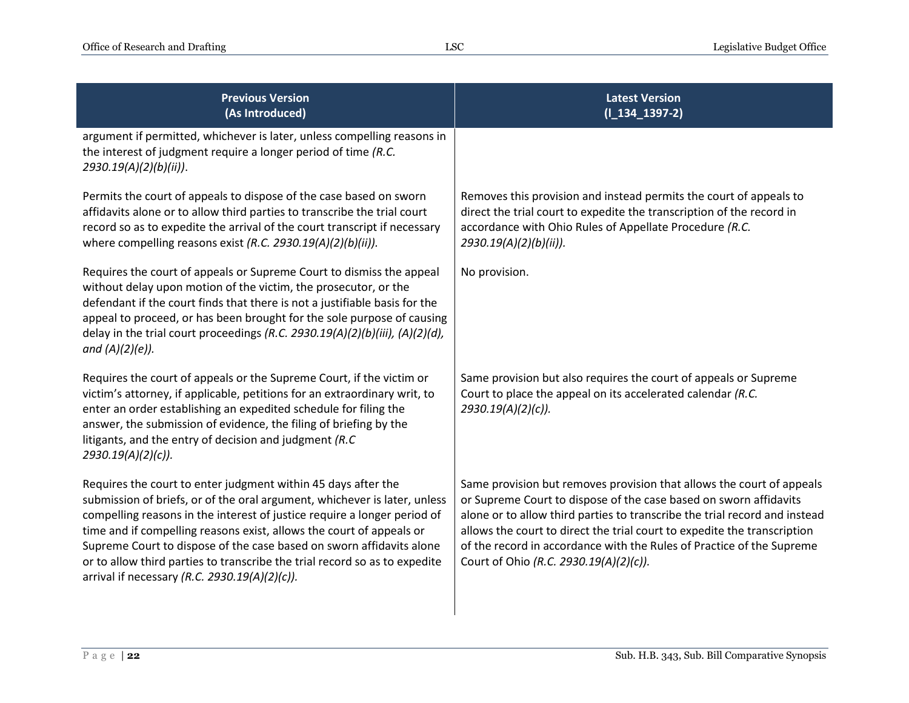| <b>Previous Version</b><br>(As Introduced)                                                                                                                                                                                                                                                                                                                                                                                                                                                            | <b>Latest Version</b><br>$(I_134_1397-2)$                                                                                                                                                                                                                                                                                                                                                                               |
|-------------------------------------------------------------------------------------------------------------------------------------------------------------------------------------------------------------------------------------------------------------------------------------------------------------------------------------------------------------------------------------------------------------------------------------------------------------------------------------------------------|-------------------------------------------------------------------------------------------------------------------------------------------------------------------------------------------------------------------------------------------------------------------------------------------------------------------------------------------------------------------------------------------------------------------------|
| argument if permitted, whichever is later, unless compelling reasons in<br>the interest of judgment require a longer period of time (R.C.<br>2930.19(A)(2)(b)(ii)).                                                                                                                                                                                                                                                                                                                                   |                                                                                                                                                                                                                                                                                                                                                                                                                         |
| Permits the court of appeals to dispose of the case based on sworn<br>affidavits alone or to allow third parties to transcribe the trial court<br>record so as to expedite the arrival of the court transcript if necessary<br>where compelling reasons exist (R.C. 2930.19(A)(2)(b)(ii)).                                                                                                                                                                                                            | Removes this provision and instead permits the court of appeals to<br>direct the trial court to expedite the transcription of the record in<br>accordance with Ohio Rules of Appellate Procedure (R.C.<br>2930.19(A)(2)(b)(ii)).                                                                                                                                                                                        |
| Requires the court of appeals or Supreme Court to dismiss the appeal<br>without delay upon motion of the victim, the prosecutor, or the<br>defendant if the court finds that there is not a justifiable basis for the<br>appeal to proceed, or has been brought for the sole purpose of causing<br>delay in the trial court proceedings (R.C. 2930.19(A)(2)(b)(iii), (A)(2)(d),<br>and $(A)(2)(e)$ ).                                                                                                 | No provision.                                                                                                                                                                                                                                                                                                                                                                                                           |
| Requires the court of appeals or the Supreme Court, if the victim or<br>victim's attorney, if applicable, petitions for an extraordinary writ, to<br>enter an order establishing an expedited schedule for filing the<br>answer, the submission of evidence, the filing of briefing by the<br>litigants, and the entry of decision and judgment $(R.C)$<br>2930.19(A)(2)(c)).                                                                                                                         | Same provision but also requires the court of appeals or Supreme<br>Court to place the appeal on its accelerated calendar (R.C.<br>$2930.19(A)(2)(c)$ ).                                                                                                                                                                                                                                                                |
| Requires the court to enter judgment within 45 days after the<br>submission of briefs, or of the oral argument, whichever is later, unless<br>compelling reasons in the interest of justice require a longer period of<br>time and if compelling reasons exist, allows the court of appeals or<br>Supreme Court to dispose of the case based on sworn affidavits alone<br>or to allow third parties to transcribe the trial record so as to expedite<br>arrival if necessary (R.C. 2930.19(A)(2)(c)). | Same provision but removes provision that allows the court of appeals<br>or Supreme Court to dispose of the case based on sworn affidavits<br>alone or to allow third parties to transcribe the trial record and instead<br>allows the court to direct the trial court to expedite the transcription<br>of the record in accordance with the Rules of Practice of the Supreme<br>Court of Ohio (R.C. 2930.19(A)(2)(c)). |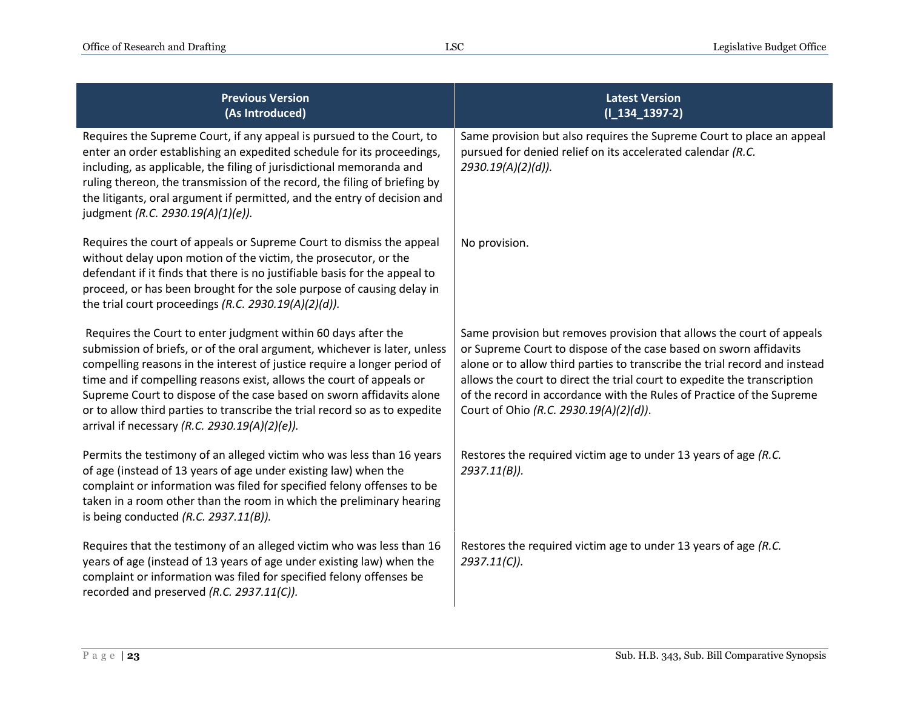| <b>Previous Version</b><br>(As Introduced)                                                                                                                                                                                                                                                                                                                                                                                                                                                            | <b>Latest Version</b><br>$(I_134_1397-2)$                                                                                                                                                                                                                                                                                                                                                                               |
|-------------------------------------------------------------------------------------------------------------------------------------------------------------------------------------------------------------------------------------------------------------------------------------------------------------------------------------------------------------------------------------------------------------------------------------------------------------------------------------------------------|-------------------------------------------------------------------------------------------------------------------------------------------------------------------------------------------------------------------------------------------------------------------------------------------------------------------------------------------------------------------------------------------------------------------------|
| Requires the Supreme Court, if any appeal is pursued to the Court, to<br>enter an order establishing an expedited schedule for its proceedings,<br>including, as applicable, the filing of jurisdictional memoranda and<br>ruling thereon, the transmission of the record, the filing of briefing by<br>the litigants, oral argument if permitted, and the entry of decision and<br>judgment (R.C. 2930.19(A)(1)(e)).                                                                                 | Same provision but also requires the Supreme Court to place an appeal<br>pursued for denied relief on its accelerated calendar (R.C.<br>2930.19(A)(2)(d)).                                                                                                                                                                                                                                                              |
| Requires the court of appeals or Supreme Court to dismiss the appeal<br>without delay upon motion of the victim, the prosecutor, or the<br>defendant if it finds that there is no justifiable basis for the appeal to<br>proceed, or has been brought for the sole purpose of causing delay in<br>the trial court proceedings (R.C. 2930.19(A)(2)(d)).                                                                                                                                                | No provision.                                                                                                                                                                                                                                                                                                                                                                                                           |
| Requires the Court to enter judgment within 60 days after the<br>submission of briefs, or of the oral argument, whichever is later, unless<br>compelling reasons in the interest of justice require a longer period of<br>time and if compelling reasons exist, allows the court of appeals or<br>Supreme Court to dispose of the case based on sworn affidavits alone<br>or to allow third parties to transcribe the trial record so as to expedite<br>arrival if necessary (R.C. 2930.19(A)(2)(e)). | Same provision but removes provision that allows the court of appeals<br>or Supreme Court to dispose of the case based on sworn affidavits<br>alone or to allow third parties to transcribe the trial record and instead<br>allows the court to direct the trial court to expedite the transcription<br>of the record in accordance with the Rules of Practice of the Supreme<br>Court of Ohio (R.C. 2930.19(A)(2)(d)). |
| Permits the testimony of an alleged victim who was less than 16 years<br>of age (instead of 13 years of age under existing law) when the<br>complaint or information was filed for specified felony offenses to be<br>taken in a room other than the room in which the preliminary hearing<br>is being conducted $(R.C. 2937.11(B))$ .                                                                                                                                                                | Restores the required victim age to under 13 years of age (R.C.<br>$2937.11(B)$ ).                                                                                                                                                                                                                                                                                                                                      |
| Requires that the testimony of an alleged victim who was less than 16<br>years of age (instead of 13 years of age under existing law) when the<br>complaint or information was filed for specified felony offenses be<br>recorded and preserved (R.C. 2937.11(C)).                                                                                                                                                                                                                                    | Restores the required victim age to under 13 years of age (R.C.<br>$2937.11(C)$ ).                                                                                                                                                                                                                                                                                                                                      |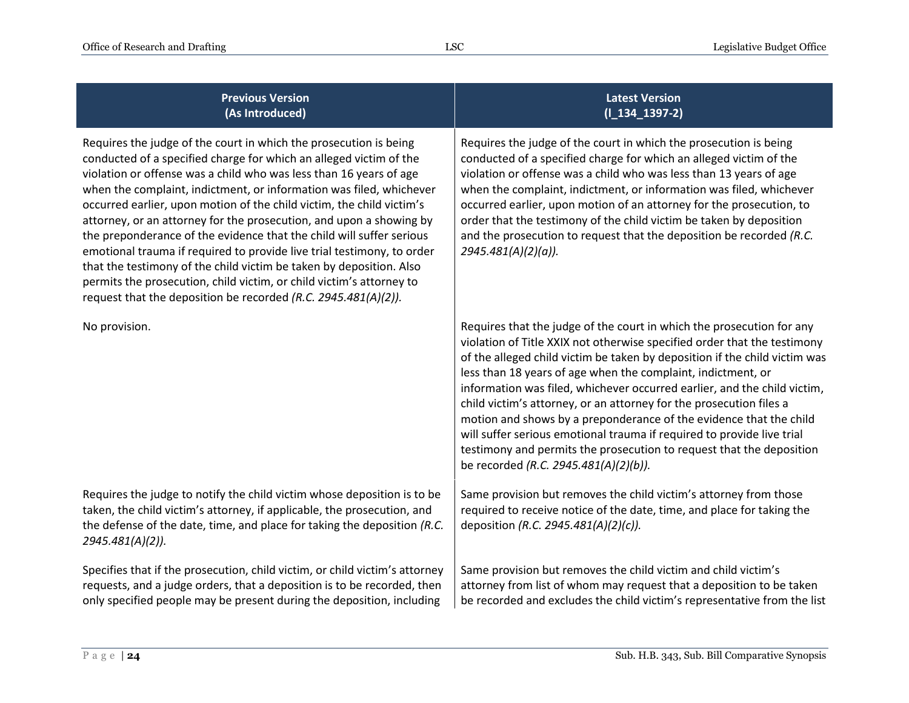## **Previous Version (As Introduced)**

Requires the judge of the court in which the prosecution is being conducted of a specified charge for which an alleged victim of the violation or offense was a child who was less than 16 years of age when the complaint, indictment, or information was filed, whichever occurred earlier, upon motion of the child victim, the child victim's attorney, or an attorney for the prosecution, and upon a showing by the preponderance of the evidence that the child will suffer serious emotional trauma if required to provide live trial testimony, to order that the testimony of the child victim be taken by deposition. Also permits the prosecution, child victim, or child victim's attorney to request that the deposition be recorded *(R.C. 2945.481(A)(2)).*

Requires the judge to notify the child victim whose deposition is to be taken, the child victim's attorney, if applicable, the prosecution, and the defense of the date, time, and place for taking the deposition *(R.C. 2945.481(A)(2)).*

Specifies that if the prosecution, child victim, or child victim's attorney requests, and a judge orders, that a deposition is to be recorded, then only specified people may be present during the deposition, including

Requires the judge of the court in which the prosecution is being conducted of a specified charge for which an alleged victim of the violation or offense was a child who was less than 13 years of age when the complaint, indictment, or information was filed, whichever occurred earlier, upon motion of an attorney for the prosecution, to order that the testimony of the child victim be taken by deposition and the prosecution to request that the deposition be recorded *(R.C. 2945.481(A)(2)(a)).*

No provision. No provision. Requires that the judge of the court in which the prosecution for any violation of Title XXIX not otherwise specified order that the testimony of the alleged child victim be taken by deposition if the child victim was less than 18 years of age when the complaint, indictment, or information was filed, whichever occurred earlier, and the child victim, child victim's attorney, or an attorney for the prosecution files a motion and shows by a preponderance of the evidence that the child will suffer serious emotional trauma if required to provide live trial testimony and permits the prosecution to request that the deposition be recorded *(R.C. 2945.481(A)(2)(b)).*

> Same provision but removes the child victim's attorney from those required to receive notice of the date, time, and place for taking the deposition *(R.C. 2945.481(A)(2)(c)).*

Same provision but removes the child victim and child victim's attorney from list of whom may request that a deposition to be taken be recorded and excludes the child victim's representative from the list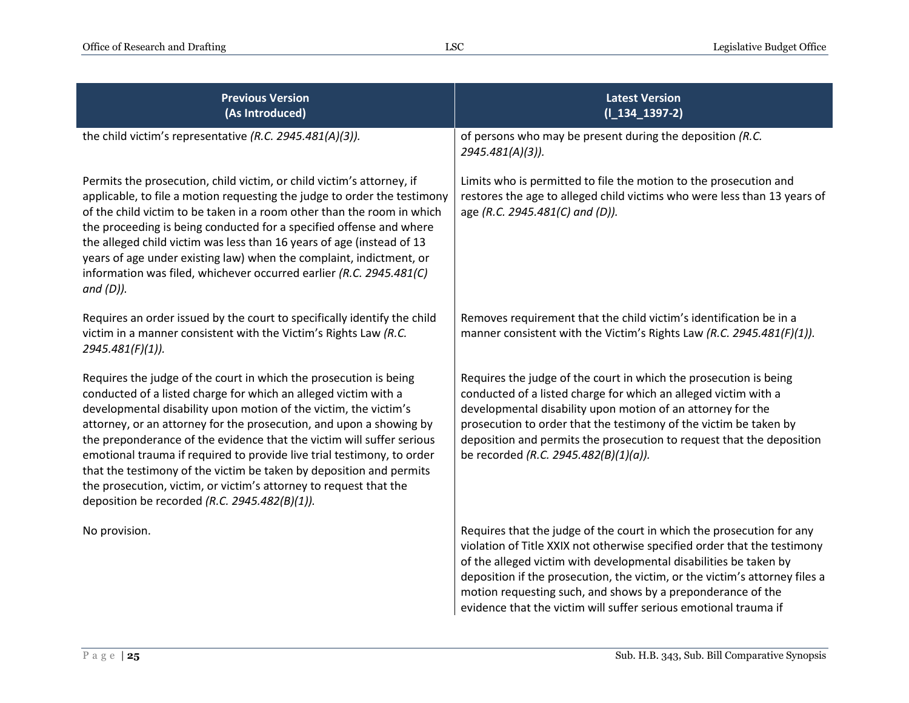| <b>Previous Version</b><br>(As Introduced)                                                                                                                                                                                                                                                                                                                                                                                                                                                                                                                                                                                      | <b>Latest Version</b><br>$(I_134_1397-2)$                                                                                                                                                                                                                                                                                                                                                                                                |
|---------------------------------------------------------------------------------------------------------------------------------------------------------------------------------------------------------------------------------------------------------------------------------------------------------------------------------------------------------------------------------------------------------------------------------------------------------------------------------------------------------------------------------------------------------------------------------------------------------------------------------|------------------------------------------------------------------------------------------------------------------------------------------------------------------------------------------------------------------------------------------------------------------------------------------------------------------------------------------------------------------------------------------------------------------------------------------|
| the child victim's representative (R.C. 2945.481(A)(3)).                                                                                                                                                                                                                                                                                                                                                                                                                                                                                                                                                                        | of persons who may be present during the deposition (R.C.<br>2945.481(A)(3)).                                                                                                                                                                                                                                                                                                                                                            |
| Permits the prosecution, child victim, or child victim's attorney, if<br>applicable, to file a motion requesting the judge to order the testimony<br>of the child victim to be taken in a room other than the room in which<br>the proceeding is being conducted for a specified offense and where<br>the alleged child victim was less than 16 years of age (instead of 13<br>years of age under existing law) when the complaint, indictment, or<br>information was filed, whichever occurred earlier (R.C. 2945.481(C)<br>$and (D)$ ).                                                                                       | Limits who is permitted to file the motion to the prosecution and<br>restores the age to alleged child victims who were less than 13 years of<br>age (R.C. 2945.481(C) and (D)).                                                                                                                                                                                                                                                         |
| Requires an order issued by the court to specifically identify the child<br>victim in a manner consistent with the Victim's Rights Law (R.C.<br>2945.481(F)(1)).                                                                                                                                                                                                                                                                                                                                                                                                                                                                | Removes requirement that the child victim's identification be in a<br>manner consistent with the Victim's Rights Law (R.C. 2945.481(F)(1)).                                                                                                                                                                                                                                                                                              |
| Requires the judge of the court in which the prosecution is being<br>conducted of a listed charge for which an alleged victim with a<br>developmental disability upon motion of the victim, the victim's<br>attorney, or an attorney for the prosecution, and upon a showing by<br>the preponderance of the evidence that the victim will suffer serious<br>emotional trauma if required to provide live trial testimony, to order<br>that the testimony of the victim be taken by deposition and permits<br>the prosecution, victim, or victim's attorney to request that the<br>deposition be recorded (R.C. 2945.482(B)(1)). | Requires the judge of the court in which the prosecution is being<br>conducted of a listed charge for which an alleged victim with a<br>developmental disability upon motion of an attorney for the<br>prosecution to order that the testimony of the victim be taken by<br>deposition and permits the prosecution to request that the deposition<br>be recorded (R.C. 2945.482(B)(1)(a)).                                               |
| No provision.                                                                                                                                                                                                                                                                                                                                                                                                                                                                                                                                                                                                                   | Requires that the judge of the court in which the prosecution for any<br>violation of Title XXIX not otherwise specified order that the testimony<br>of the alleged victim with developmental disabilities be taken by<br>deposition if the prosecution, the victim, or the victim's attorney files a<br>motion requesting such, and shows by a preponderance of the<br>evidence that the victim will suffer serious emotional trauma if |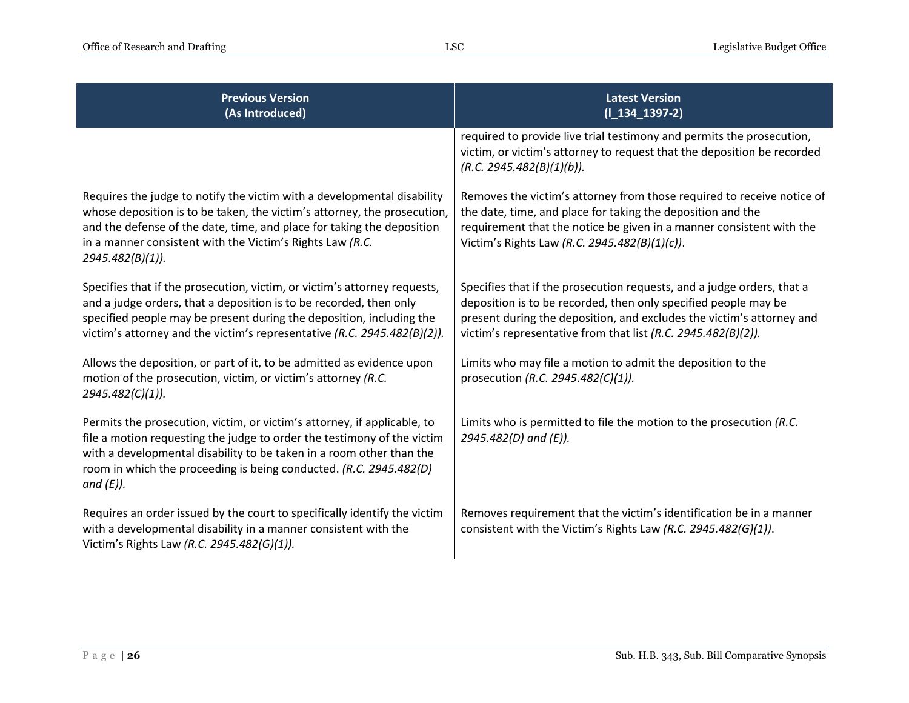| <b>Previous Version</b><br>(As Introduced)                                                                                                                                                                                                                                                                        | <b>Latest Version</b><br>$(I_134_1397-2)$                                                                                                                                                                                                                                           |
|-------------------------------------------------------------------------------------------------------------------------------------------------------------------------------------------------------------------------------------------------------------------------------------------------------------------|-------------------------------------------------------------------------------------------------------------------------------------------------------------------------------------------------------------------------------------------------------------------------------------|
|                                                                                                                                                                                                                                                                                                                   | required to provide live trial testimony and permits the prosecution,<br>victim, or victim's attorney to request that the deposition be recorded<br>(R.C. 2945.482(B)(1)(b)).                                                                                                       |
| Requires the judge to notify the victim with a developmental disability<br>whose deposition is to be taken, the victim's attorney, the prosecution,<br>and the defense of the date, time, and place for taking the deposition<br>in a manner consistent with the Victim's Rights Law (R.C.<br>2945.482(B)(1)).    | Removes the victim's attorney from those required to receive notice of<br>the date, time, and place for taking the deposition and the<br>requirement that the notice be given in a manner consistent with the<br>Victim's Rights Law (R.C. 2945.482(B)(1)(c)).                      |
| Specifies that if the prosecution, victim, or victim's attorney requests,<br>and a judge orders, that a deposition is to be recorded, then only<br>specified people may be present during the deposition, including the<br>victim's attorney and the victim's representative (R.C. 2945.482(B)(2)).               | Specifies that if the prosecution requests, and a judge orders, that a<br>deposition is to be recorded, then only specified people may be<br>present during the deposition, and excludes the victim's attorney and<br>victim's representative from that list (R.C. 2945.482(B)(2)). |
| Allows the deposition, or part of it, to be admitted as evidence upon<br>motion of the prosecution, victim, or victim's attorney (R.C.<br>2945.482(C)(1)).                                                                                                                                                        | Limits who may file a motion to admit the deposition to the<br>prosecution (R.C. 2945.482(C)(1)).                                                                                                                                                                                   |
| Permits the prosecution, victim, or victim's attorney, if applicable, to<br>file a motion requesting the judge to order the testimony of the victim<br>with a developmental disability to be taken in a room other than the<br>room in which the proceeding is being conducted. (R.C. 2945.482(D)<br>and $(E)$ ). | Limits who is permitted to file the motion to the prosecution (R.C.<br>2945.482(D) and (E)).                                                                                                                                                                                        |
| Requires an order issued by the court to specifically identify the victim<br>with a developmental disability in a manner consistent with the<br>Victim's Rights Law (R.C. 2945.482(G)(1)).                                                                                                                        | Removes requirement that the victim's identification be in a manner<br>consistent with the Victim's Rights Law (R.C. 2945.482(G)(1)).                                                                                                                                               |